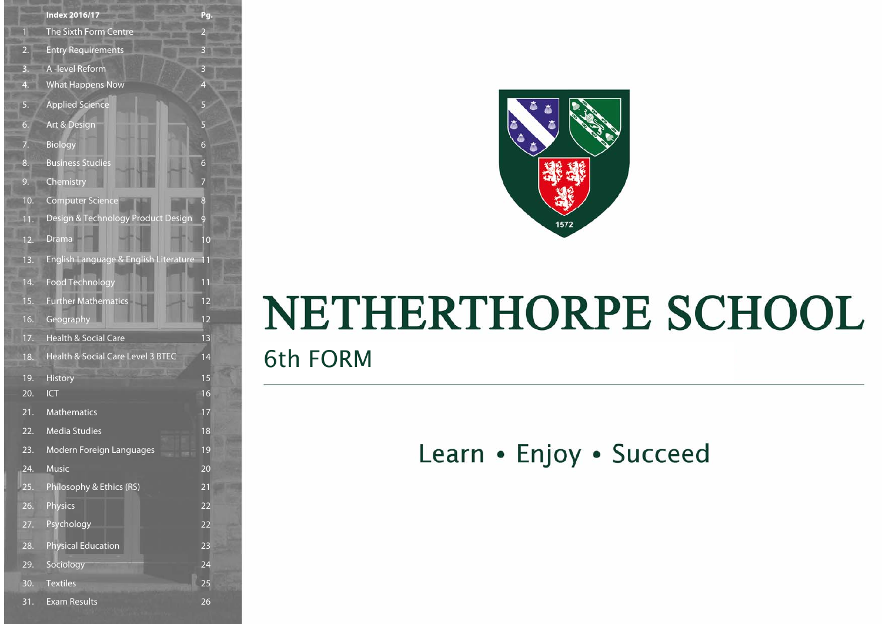|     | <b>Index 2016/17</b>                  | Pg.            |
|-----|---------------------------------------|----------------|
| 1   | The Sixth Form Centre                 | $\overline{a}$ |
| 2.  | <b>Entry Requirements</b>             | $\mathbf{3}$   |
| 3.  | A-level Reform                        | 3              |
| 4.  | <b>What Happens Now</b>               | $\overline{4}$ |
| 5.  | <b>Applied Science</b>                | 5              |
| 6.  | Art & Design                          | 5              |
| 7.  | <b>Biology</b>                        | 6              |
| 8.  | <b>Business Studies</b>               | 6              |
| 9.  | Chemistry                             | 7              |
| 10. | <b>Computer Science</b>               | 8              |
| 11. | Design & Technology Product Design    | 9              |
| 12. | <b>Drama</b>                          | 10             |
| 13. | English Language & English Literature | 11             |
| 14. | <b>Food Technology</b>                | 11             |
| 15. | <b>Further Mathematics</b>            | 12             |
| 16. | Geography                             | 12             |
| 17. | <b>Health &amp; Social Care</b>       | 13             |
| 18. | Health & Social Care Level 3 BTEC     | 14             |
| 19. | <b>History</b>                        | 15             |
| 20. | <b>ICT</b>                            | 16             |
| 21. | <b>Mathematics</b>                    | 17             |
| 22. | <b>Media Studies</b>                  | 18             |
| 23. | Modern Foreign Languages              | 19             |
| 24  | <b>Music</b>                          | 20             |
| 25. | Philosophy & Ethics (RS)              | 21             |
| 26. | <b>Physics</b>                        | 22             |
| 27. | Psychology                            | 22             |
| 28. | <b>Physical Education</b>             | 23             |
| 29. | Sociology                             | 24             |
| 30. | <b>Textiles</b>                       | 25             |
| 31. | <b>Exam Results</b>                   | 26             |



# NETHERTHORPE SCHOOL

6th FORM

Learn • Enjoy • Succeed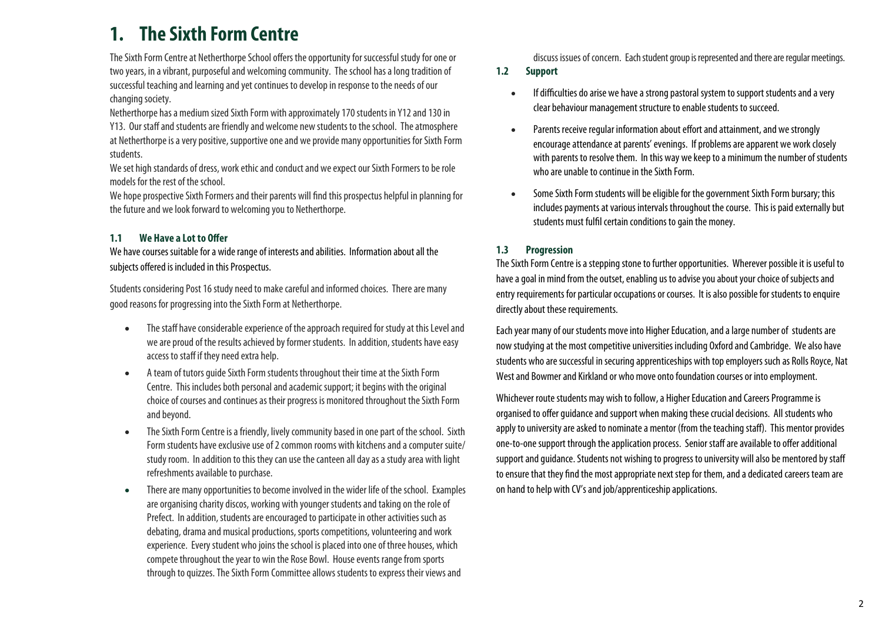# **1. The Sixth Form Centre**

The Sixth Form Centre at Netherthorpe School offers the opportunity for successful study for one or two years, in a vibrant, purposeful and welcoming community. The school has a long tradition of successful teaching and learning and yet continues to develop in response to the needs of our changing society.

Netherthorpe has a medium sized Sixth Form with approximately 170 students in Y12 and 130 in Y13. Our staff and students are friendly and welcome new students to the school. The atmosphere at Netherthorpe is a very positive, supportive one and we provide many opportunities for Sixth Form students.

We set high standards of dress, work ethic and conduct and we expect our Sixth Formers to be role models for the rest of the school.

We hope prospective Sixth Formers and their parents will find this prospectus helpful in planning for the future and we look forward to welcoming you to Netherthorpe.

#### **1.1 We Have a Lot to Offer**

We have courses suitable for a wide range of interests and abilities. Information about all the subjects offered is included in this Prospectus.

Students considering Post 16 study need to make careful and informed choices. There are many good reasons for progressing into the Sixth Form at Netherthorpe.

- $\bullet$  The staff have considerable experience of the approach required for study at this Level and we are proud of the results achieved by former students. In addition, students have easy access to staff if they need extra help.
- $\bullet$  A team of tutors guide Sixth Form students throughout their time at the Sixth Form Centre. This includes both personal and academic support; it begins with the original choice of courses and continues as their progress is monitored throughout the Sixth Form and beyond.
- $\bullet$  The Sixth Form Centre is a friendly, lively community based in one part of the school. Sixth Form students have exclusive use of 2 common rooms with kitchens and a computer suite/ study room. In addition to this they can use the canteen all day as a study area with light refreshments available to purchase.
- $\bullet$  There are many opportunities to become involved in the wider life of the school. Examples are organising charity discos, working with younger students and taking on the role of Prefect. In addition, students are encouraged to participate in other activities such as debating, drama and musical productions, sports competitions, volunteering and work experience. Every student who joins the school is placed into one of three houses, which compete throughout the year to win the Rose Bowl. House events range from sports through to quizzes. The Sixth Form Committee allows students to express their views and

discuss issues of concern. Each student group is represented and there are regular meetings.

#### **1.2 Support**

- $\bullet$  If difficulties do arise we have a strong pastoral system to support students and a very clear behaviour management structure to enable students to succeed.
- $\bullet$  Parents receive regular information about effort and attainment, and we strongly encourage attendance at parents' evenings. If problems are apparent we work closely with parents to resolve them. In this way we keep to a minimum the number of students who are unable to continue in the Sixth Form.
- $\bullet$  Some Sixth Form students will be eligible for the government Sixth Form bursary; this includes payments at various intervals throughout the course. This is paid externally but students must fulfil certain conditions to gain the money.

#### **1.3 Progression**

The Sixth Form Centre is a stepping stone to further opportunities. Wherever possible it is useful to have a goal in mind from the outset, enabling us to advise you about your choice of subjects and entry requirements for particular occupations or courses. It is also possible for students to enquire directly about these requirements.

Each year many of our students move into Higher Education, and a large number of students are now studying at the most competitive universities including Oxford and Cambridge. We also have students who are successful in securing apprenticeships with top employers such as Rolls Royce, Nat West and Bowmer and Kirkland or who move onto foundation courses or into employment.

Whichever route students may wish to follow, a Higher Education and Careers Programme is organised to offer guidance and support when making these crucial decisions. All students who apply to university are asked to nominate a mentor (from the teaching staff). This mentor provides one-to-one support through the application process. Senior staff are available to offer additional support and guidance. Students not wishing to progress to university will also be mentored by staff to ensure that they find the most appropriate next step for them, and a dedicated careers team are on hand to help with CV's and job/apprenticeship applications.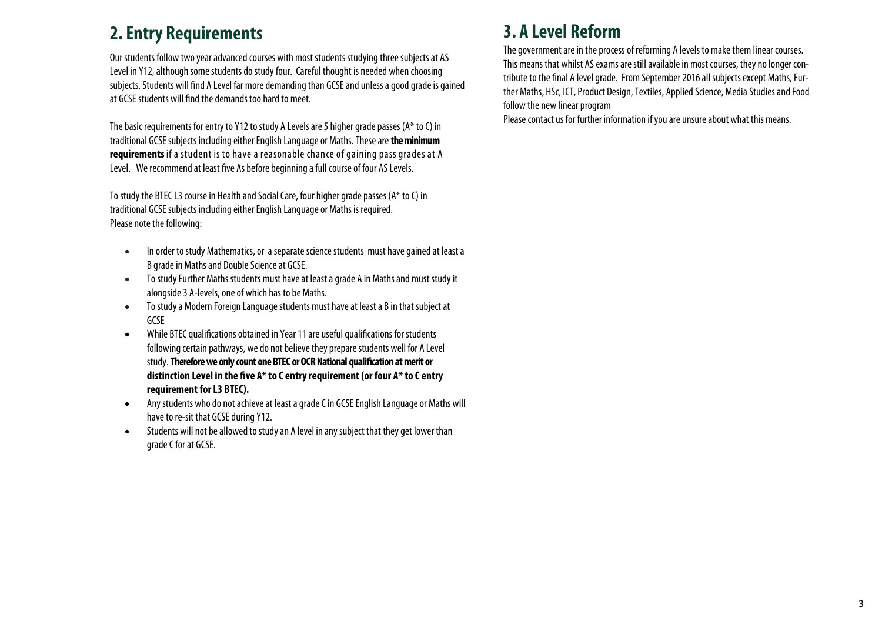### **2. Entry Requirements**

Our students follow two year advanced courses with most students studying three subjects at AS Level in Y12, although some students do study four. Careful thought is needed when choosing subjects. Students will find A Level far more demanding than GCSE and unless a good grade is gained at GCSE students will find the demands too hard to meet.

The basic requirements for entry to Y12 to study A Levels are 5 higher grade passes (A\* to C) in traditional GCSE subjects including either English Language or Maths. These are **the minimum requirements** if a student is to have a reasonable chance of gaining pass grades at A Level. We recommend at least five As before beginning a full course of four AS Levels.

To study the BTEC L3 course in Health and Social Care, four higher grade passes (A\* to C) in traditional GCSE subjects including either English Language or Maths is required. Please note the following:

- $\bullet$  In order to study Mathematics, or a separate science students must have gained at least a B grade in Maths and Double Science at GCSE.
- $\bullet$  To study Further Maths students must have at least a grade A in Maths and must study it alongside 3 A-levels, one of which has to be Maths.
- $\bullet$  To study a Modern Foreign Language students must have at least a B in that subject at GCSE
- $\bullet$  While BTEC qualifications obtained in Year 11 are useful qualifications for students following certain pathways, we do not believe they prepare students well for A Level study. **Therefore we only count one BTEC or OCR National qualification at merit or distinction Level in the five A\* to C entry requirement (or four A\* to C entry requirement for L3 BTEC).**
- $\bullet$  Any students who do not achieve at least a grade C in GCSE English Language or Maths will have to re-sit that GCSE during Y12.
- $\bullet$  Students will not be allowed to study an A level in any subject that they get lower than grade C for at GCSE.

# **3. A Level Reform**

The government are in the process of reforming A levels to make them linear courses. This means that whilst AS exams are still available in most courses, they no longer contribute to the final A level grade. From September 2016 all subjects except Maths, Further Maths, HSc, ICT, Product Design, Textiles, Applied Science, Media Studies and Food follow the new linear program

Please contact us for further information if you are unsure about what this means.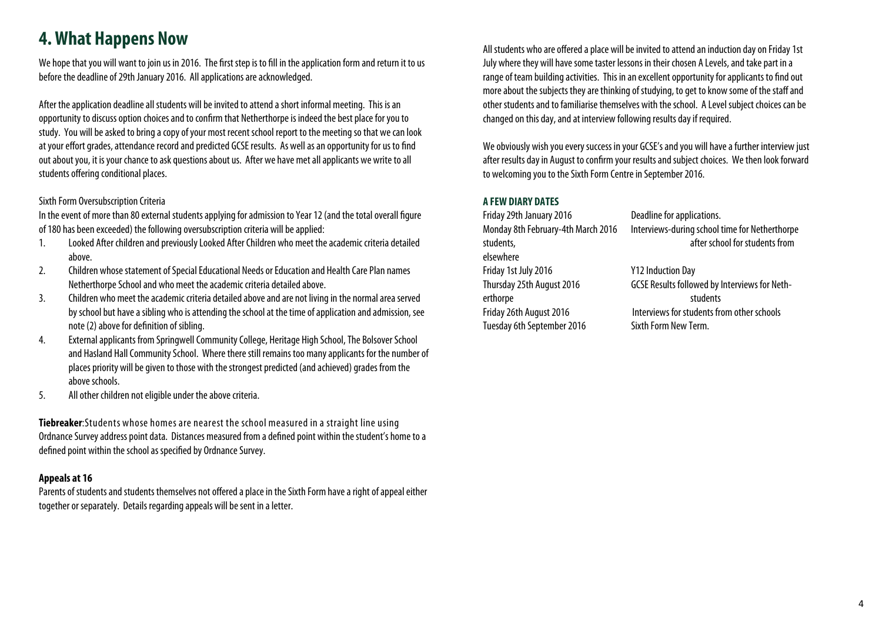### **4. What Happens Now**

We hope that you will want to join us in 2016. The first step is to fill in the application form and return it to us before the deadline of 29th January 2016. All applications are acknowledged.

After the application deadline all students will be invited to attend a short informal meeting. This is an opportunity to discuss option choices and to confirm that Netherthorpe is indeed the best place for you to study. You will be asked to bring a copy of your most recent school report to the meeting so that we can look at your effort grades, attendance record and predicted GCSE results. As well as an opportunity for us to find out about you, it is your chance to ask questions about us. After we have met all applicants we write to all students offering conditional places.

#### Sixth Form Oversubscription Criteria

In the event of more than 80 external students applying for admission to Year 12 (and the total overall figure of 180 has been exceeded) the following oversubscription criteria will be applied:

- 1. Looked After children and previously Looked After Children who meet the academic criteria detailed above.
- 2. Children whose statement of Special Educational Needs or Education and Health Care Plan names Netherthorpe School and who meet the academic criteria detailed above.
- 3. Children who meet the academic criteria detailed above and are not living in the normal area served by school but have a sibling who is attending the school at the time of application and admission, see note (2) above for definition of sibling.
- 4. External applicants from Springwell Community College, Heritage High School, The Bolsover School and Hasland Hall Community School. Where there still remains too many applicants for the number of places priority will be given to those with the strongest predicted (and achieved) grades from the above schools.
- 5. All other children not eligible under the above criteria.

**Tiebreaker**:Students whose homes are nearest the school measured in a straight line using Ordnance Survey address point data. Distances measured from a defined point within the student's home to a defined point within the school as specified by Ordnance Survey.

#### **Appeals at 16**

Parents of students and students themselves not offered a place in the Sixth Form have a right of appeal either together or separately. Details regarding appeals will be sent in a letter.

All students who are offered a place will be invited to attend an induction day on Friday 1st July where they will have some taster lessons in their chosen A Levels, and take part in a range of team building activities. This in an excellent opportunity for applicants to find out more about the subjects they are thinking of studying, to get to know some of the staff and other students and to familiarise themselves with the school. A Level subject choices can be changed on this day, and at interview following results day if required.

We obviously wish you every success in your GCSE's and you will have a further interview just after results day in August to confirm your results and subject choices. We then look forward to welcoming you to the Sixth Form Centre in September 2016.

#### **A FEW DIARY DATES**

Friday 29th January 2016 Deadline for applications. elsewhere Friday 1st July 2016 Y12 Induction Day erthorpe students Tuesday 6th September 2016 Sixth Form New Term.

Monday 8th February-4th March 2016 Interviews-during school time for Netherthorpe students. The students of the students from the students from the students from the students from the students from the students from the students from the students from the students of the students of the students of the

Thursday 25th August 2016 GCSE Results followed by Interviews for Neth-Friday 26th August 2016 Interviews for students from other schools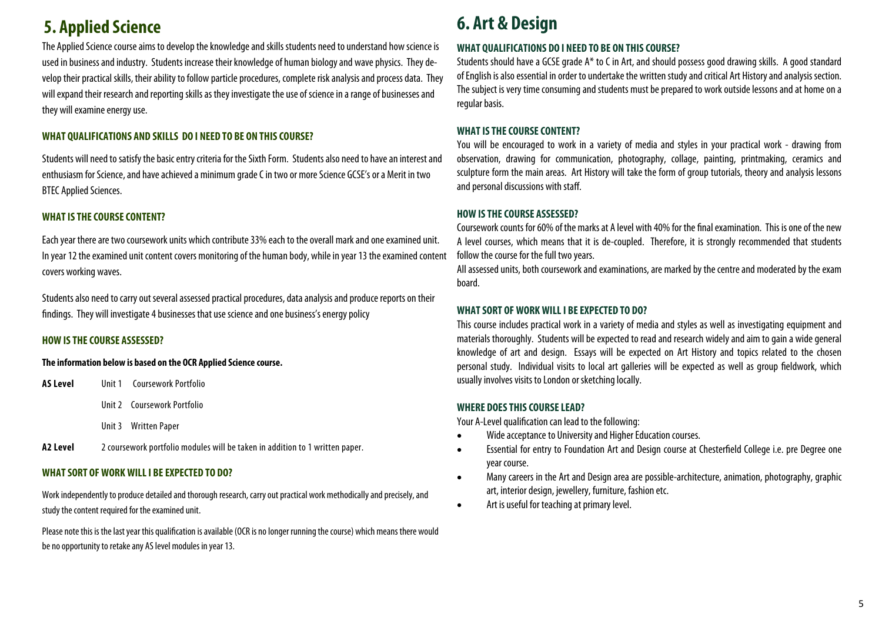# **5. Applied Science 6. Art & Design**

The Applied Science course aims to develop the knowledge and skills students need to understand how science is used in business and industry. Students increase their knowledge of human biology and wave physics. They develop their practical skills, their ability to follow particle procedures, complete risk analysis and process data. They will expand their research and reporting skills as they investigate the use of science in a range of businesses and they will examine energy use.

#### **WHAT QUALIFICATIONS AND SKILLS DO I NEED TO BE ON THIS COURSE?**

Students will need to satisfy the basic entry criteria for the Sixth Form. Students also need to have an interest and enthusiasm for Science, and have achieved a minimum grade C in two or more Science GCSE's or a Merit in two BTEC Applied Sciences.

#### **WHAT IS THE COURSE CONTENT?**

Each year there are two coursework units which contribute 33% each to the overall mark and one examined unit. In year 12 the examined unit content covers monitoring of the human body, while in year 13 the examined content covers working waves.

Students also need to carry out several assessed practical procedures, data analysis and produce reports on their findings. They will investigate 4 businesses that use science and one business's energy policy

#### **HOW IS THE COURSE ASSESSED?**

#### **The information below is based on the OCR Applied Science course.**

- **AS Level** Unit 1 Coursework Portfolio
- Unit 2 Coursework Portfolio
	- Unit 3 Written Paper
- **A2 Level** 2 coursework portfolio modules will be taken in addition to 1 written paper.

#### **WHAT SORT OF WORK WILL I BE EXPECTED TO DO?**

Work independently to produce detailed and thorough research, carry out practical work methodically and precisely, and study the content required for the examined unit.

Please note this is the last year this qualification is available (OCR is no longer running the course) which means there would be no opportunity to retake any AS level modules in year 13.

#### **WHAT QUALIFICATIONS DO I NEED TO BE ON THIS COURSE?**

Students should have a GCSE grade A\* to C in Art, and should possess good drawing skills. A good standard of English is also essential in order to undertake the written study and critical Art History and analysis section. The subject is very time consuming and students must be prepared to work outside lessons and at home on a regular basis.

#### **WHAT IS THE COURSE CONTENT?**

You will be encouraged to work in a variety of media and styles in your practical work - drawing from observation, drawing for communication, photography, collage, painting, printmaking, ceramics and sculpture form the main areas. Art History will take the form of group tutorials, theory and analysis lessons and personal discussions with staff.

#### **HOW IS THE COURSE ASSESSED?**

Coursework counts for 60% of the marks at A level with 40% for the final examination. This is one of the new A level courses, which means that it is de-coupled. Therefore, it is strongly recommended that students follow the course for the full two years.

All assessed units, both coursework and examinations, are marked by the centre and moderated by the exam board.

#### **WHAT SORT OF WORK WILL I BE EXPECTED TO DO?**

This course includes practical work in a variety of media and styles as well as investigating equipment and materials thoroughly. Students will be expected to read and research widely and aim to gain a wide general knowledge of art and design. Essays will be expected on Art History and topics related to the chosen personal study. Individual visits to local art galleries will be expected as well as group fieldwork, which usually involves visits to London or sketching locally.

#### **WHERE DOES THIS COURSE LEAD?**

Your A-Level qualification can lead to the following:

- $\bullet$ Wide acceptance to University and Higher Education courses.
- $\bullet$  Essential for entry to Foundation Art and Design course at Chesterfield College i.e. pre Degree one year course.
- $\bullet$  Many careers in the Art and Design area are possible-architecture, animation, photography, graphic art, interior design, jewellery, furniture, fashion etc.
- $\bullet$ Art is useful for teaching at primary level.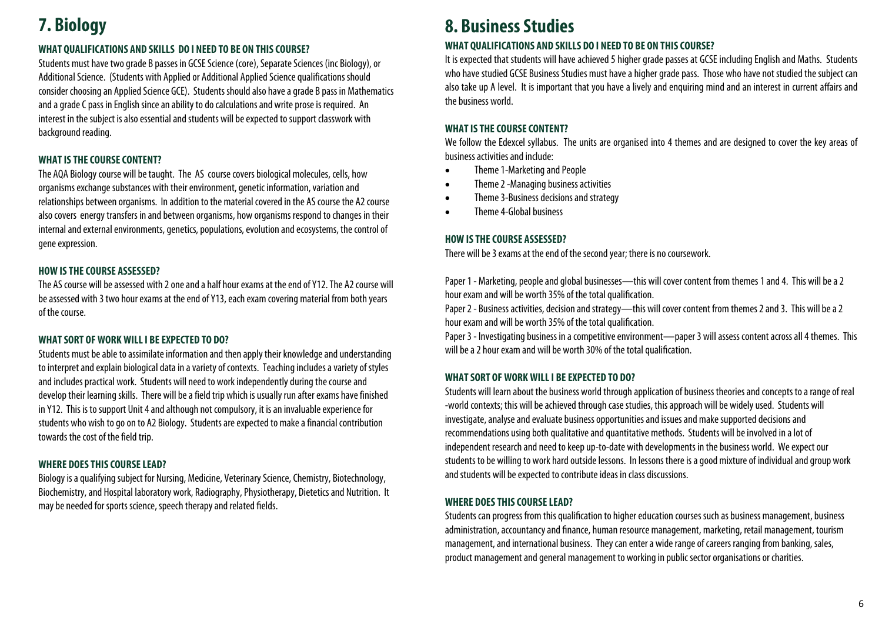# **7. Biology**

#### **WHAT QUALIFICATIONS AND SKILLS DO I NEED TO BE ON THIS COURSE?**

Students must have two grade B passes in GCSE Science (core), Separate Sciences (inc Biology), or Additional Science. (Students with Applied or Additional Applied Science qualifications should consider choosing an Applied Science GCE). Students should also have a grade B pass in Mathematics and a grade C pass in English since an ability to do calculations and write prose is required. An interest in the subject is also essential and students will be expected to support classwork with background reading.

#### **WHAT IS THE COURSE CONTENT?**

The AQA Biology course will be taught. The AS course covers biological molecules, cells, how organisms exchange substances with their environment, genetic information, variation and relationships between organisms. In addition to the material covered in the AS course the A2 course also covers energy transfers in and between organisms, how organisms respond to changes in their internal and external environments, genetics, populations, evolution and ecosystems, the control of gene expression.

#### **HOW IS THE COURSE ASSESSED?**

The AS course will be assessed with 2 one and a half hour exams at the end of Y12. The A2 course will be assessed with 3 two hour exams at the end of Y13, each exam covering material from both years of the course.

#### **WHAT SORT OF WORK WILL I BE EXPECTED TO DO?**

Students must be able to assimilate information and then apply their knowledge and understanding to interpret and explain biological data in a variety of contexts. Teaching includes a variety of styles and includes practical work. Students will need to work independently during the course and develop their learning skills. There will be a field trip which is usually run after exams have finished in Y12. This is to support Unit 4 and although not compulsory, it is an invaluable experience for students who wish to go on to A2 Biology. Students are expected to make a financial contribution towards the cost of the field trip.

#### **WHERE DOES THIS COURSE LEAD?**

Biology is a qualifying subject for Nursing, Medicine, Veterinary Science, Chemistry, Biotechnology, Biochemistry, and Hospital laboratory work, Radiography, Physiotherapy, Dietetics and Nutrition. It may be needed for sports science, speech therapy and related fields.

### **8. Business Studies**

#### **WHAT QUALIFICATIONS AND SKILLS DO I NEED TO BE ON THIS COURSE?**

It is expected that students will have achieved 5 higher grade passes at GCSE including English and Maths. Students who have studied GCSE Business Studies must have a higher grade pass. Those who have not studied the subject can also take up A level. It is important that you have a lively and enquiring mind and an interest in current affairs and the business world.

#### **WHAT IS THE COURSE CONTENT?**

We follow the Edexcel syllabus. The units are organised into 4 themes and are designed to cover the key areas of business activities and include:

- $\bullet$ Theme 1-Marketing and People
- $\bullet$ Theme 2 -Managing business activities
- $\bullet$ Theme 3-Business decisions and strategy
- $\bullet$ Theme 4-Global business

#### **HOW IS THE COURSE ASSESSED?**

There will be 3 exams at the end of the second year; there is no coursework.

Paper 1 - Marketing, people and global businesses—this will cover content from themes 1 and 4. This will be a 2 hour exam and will be worth 35% of the total qualification.

Paper 2 - Business activities, decision and strategy—this will cover content from themes 2 and 3. This will be a 2 hour exam and will be worth 35% of the total qualification.

Paper 3 - Investigating business in a competitive environment—paper 3 will assess content across all 4 themes. This will be a 2 hour exam and will be worth 30% of the total qualification.

#### **WHAT SORT OF WORK WILL I BE EXPECTED TO DO?**

Students will learn about the business world through application of business theories and concepts to a range of real -world contexts; this will be achieved through case studies, this approach will be widely used. Students will investigate, analyse and evaluate business opportunities and issues and make supported decisions and recommendations using both qualitative and quantitative methods. Students will be involved in a lot of independent research and need to keep up-to-date with developments in the business world. We expect our students to be willing to work hard outside lessons. In lessons there is a good mixture of individual and group work and students will be expected to contribute ideas in class discussions.

#### **WHERE DOES THIS COURSE LEAD?**

Students can progress from this qualification to higher education courses such as business management, business administration, accountancy and finance, human resource management, marketing, retail management, tourism management, and international business. They can enter a wide range of careers ranging from banking, sales, product management and general management to working in public sector organisations or charities.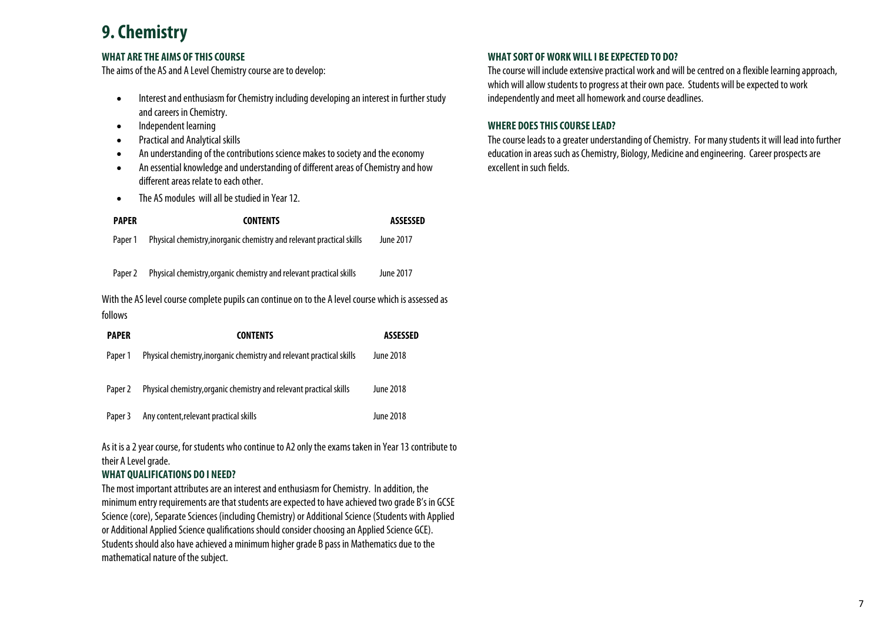### **9. Chemistry**

#### **WHAT ARE THE AIMS OF THIS COURSE**

The aims of the AS and A Level Chemistry course are to develop:

- $\bullet$  Interest and enthusiasm for Chemistry including developing an interest in further study and careers in Chemistry.
- $\bullet$ Independent learning
- $\bullet$ Practical and Analytical skills
- $\bullet$ An understanding of the contributions science makes to society and the economy
- $\bullet$  An essential knowledge and understanding of different areas of Chemistry and how different areas relate to each other.
- $\bullet$ The AS modules will all be studied in Year 12.

| <b>PAPER</b>                                                                                                   | <b>CONTENTS</b>                                                       | ASSESSED  |  |  |
|----------------------------------------------------------------------------------------------------------------|-----------------------------------------------------------------------|-----------|--|--|
| Paper 1                                                                                                        | Physical chemistry, inorganic chemistry and relevant practical skills | June 2017 |  |  |
| Paper 2                                                                                                        | Physical chemistry, organic chemistry and relevant practical skills   | June 2017 |  |  |
| With the AS level course complete pupils can continue on to the A level course which is assessed as<br>follows |                                                                       |           |  |  |
| PAPER                                                                                                          | <b>CONTENTS</b>                                                       | ASSESSED  |  |  |
| Paper 1                                                                                                        | Physical chemistry, inorganic chemistry and relevant practical skills | June 2018 |  |  |
| Paper 2                                                                                                        | Physical chemistry, organic chemistry and relevant practical skills   | June 2018 |  |  |

Paper 3 Any content, relevant practical skills Annual Content of the 2018

As it is a 2 year course, for students who continue to A2 only the exams taken in Year 13 contribute to their A Level grade.

#### **WHAT QUALIFICATIONS DO I NEED?**

The most important attributes are an interest and enthusiasm for Chemistry. In addition, the minimum entry requirements are that students are expected to have achieved two grade B's in GCSE Science (core), Separate Sciences (including Chemistry) or Additional Science (Students with Applied or Additional Applied Science qualifications should consider choosing an Applied Science GCE). Students should also have achieved a minimum higher grade B pass in Mathematics due to the mathematical nature of the subject.

#### **WHAT SORT OF WORK WILL I BE EXPECTED TO DO?**

The course will include extensive practical work and will be centred on a flexible learning approach, which will allow students to progress at their own pace. Students will be expected to work independently and meet all homework and course deadlines.

#### **WHERE DOES THIS COURSE LEAD?**

The course leads to a greater understanding of Chemistry. For many students it will lead into further education in areas such as Chemistry, Biology, Medicine and engineering. Career prospects are excellent in such fields.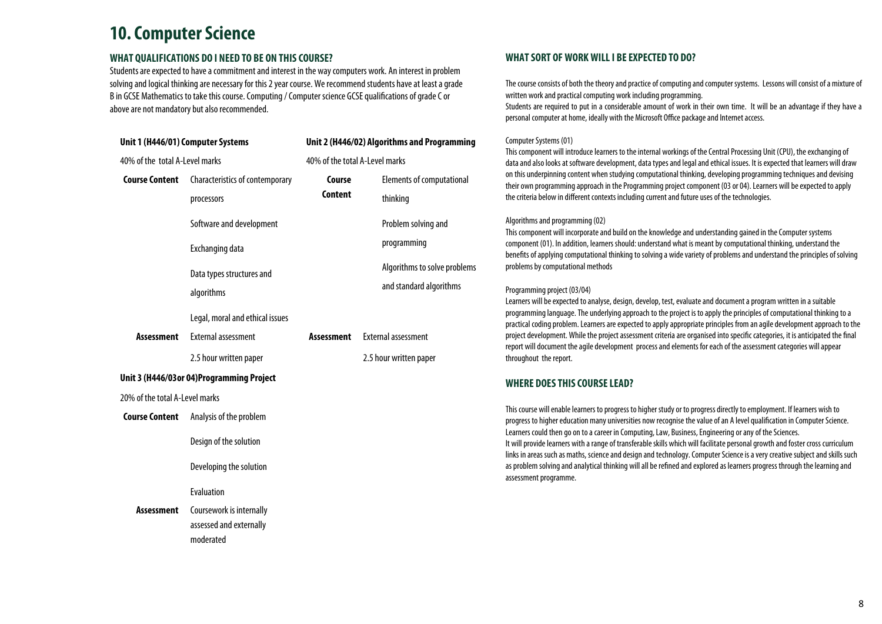### **10. Computer Science**

#### **WHAT QUALIFICATIONS DO I NEED TO BE ON THIS COURSE?**

moderated

Students are expected to have a commitment and interest in the way computers work. An interest in problem solving and logical thinking are necessary for this 2 year course. We recommend students have at least a grade B in GCSE Mathematics to take this course. Computing / Computer science GCSE qualifications of grade C or above are not mandatory but also recommended.

| Unit 1 (H446/01) Computer Systems<br>40% of the total A-Level marks |                                                                                                                                                   | Unit 2 (H446/02) Algorithms and Programming<br>40% of the total A-Level marks |                                                      |  |
|---------------------------------------------------------------------|---------------------------------------------------------------------------------------------------------------------------------------------------|-------------------------------------------------------------------------------|------------------------------------------------------|--|
|                                                                     |                                                                                                                                                   |                                                                               |                                                      |  |
| <b>Assessment</b>                                                   | algorithms<br>Legal, moral and ethical issues<br><b>External assessment</b><br>2.5 hour written paper<br>Unit 3 (H446/03or 04)Programming Project | <b>Assessment</b>                                                             | <b>External assessment</b><br>2.5 hour written paper |  |
| 20% of the total A-Level marks                                      |                                                                                                                                                   |                                                                               |                                                      |  |
| <b>Course Content</b>                                               | Analysis of the problem<br>Design of the solution                                                                                                 |                                                                               |                                                      |  |
|                                                                     | Developing the solution<br>Evaluation                                                                                                             |                                                                               |                                                      |  |
| <b>Assessment</b>                                                   | Coursework is internally<br>assessed and externally                                                                                               |                                                                               |                                                      |  |

#### **WHAT SORT OF WORK WILL I BE EXPECTED TO DO?**

The course consists of both the theory and practice of computing and computer systems. Lessons will consist of a mixture of written work and practical computing work including programming.

Students are required to put in a considerable amount of work in their own time. It will be an advantage if they have a personal computer at home, ideally with the Microsoft Office package and Internet access.

#### Computer Systems (01)

This component will introduce learners to the internal workings of the Central Processing Unit (CPU), the exchanging of data and also looks at software development, data types and legal and ethical issues. It is expected that learners will draw on this underpinning content when studying computational thinking, developing programming techniques and devising their own programming approach in the Programming project component (03 or 04). Learners will be expected to apply the criteria below in different contexts including current and future uses of the technologies.

#### Algorithms and programming (02)

This component will incorporate and build on the knowledge and understanding gained in the Computer systems component (01). In addition, learners should: understand what is meant by computational thinking, understand the benefits of applying computational thinking to solving a wide variety of problems and understand the principles of solving problems by computational methods

#### Programming project (03/04)

Learners will be expected to analyse, design, develop, test, evaluate and document a program written in a suitable programming language. The underlying approach to the project is to apply the principles of computational thinking to a practical coding problem. Learners are expected to apply appropriate principles from an agile development approach to the project development. While the project assessment criteria are organised into specific categories, it is anticipated the final report will document the agile development process and elements for each of the assessment categories will appear throughout the report.

#### **WHERE DOES THIS COURSE LEAD?**

This course will enable learners to progress to higher study or to progress directly to employment. If learners wish to progress to higher education many universities now recognise the value of an A level qualification in Computer Science. Learners could then go on to a career in Computing, Law, Business, Engineering or any of the Sciences. It will provide learners with a range of transferable skills which will facilitate personal growth and foster cross curriculum links in areas such as maths, science and design and technology. Computer Science is a very creative subject and skills such as problem solving and analytical thinking will all be refined and explored as learners progress through the learning and assessment programme.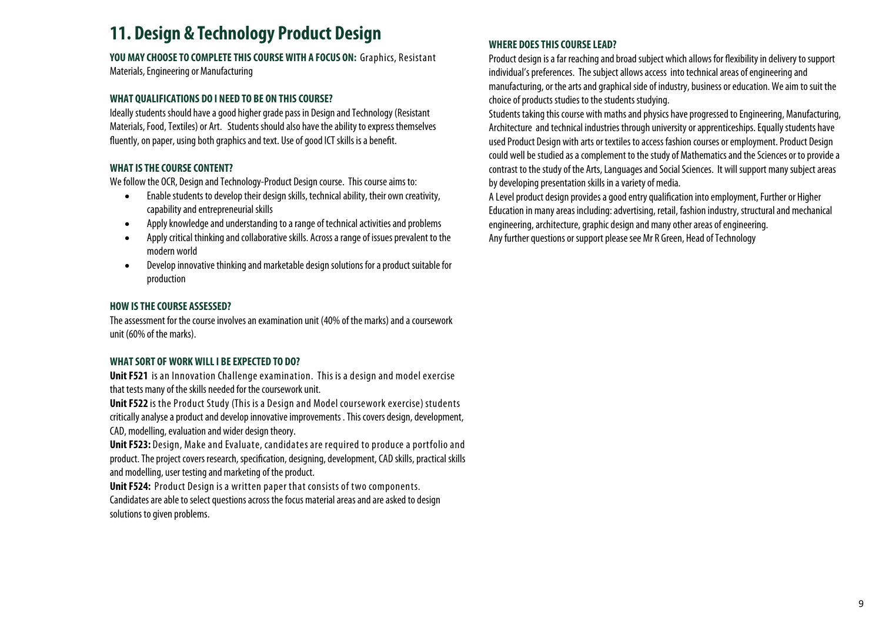### **11. Design & Technology Product Design**

### **YOU MAY CHOOSE TO COMPLETE THIS COURSE WITH A FOCUS ON:** Graphics, Resistant

Materials, Engineering or Manufacturing

#### **WHAT QUALIFICATIONS DO I NEED TO BE ON THIS COURSE?**

Ideally students should have a good higher grade pass in Design and Technology (Resistant Materials, Food, Textiles) or Art. Students should also have the ability to express themselves fluently, on paper, using both graphics and text. Use of good ICT skills is a benefit.

#### **WHAT IS THE COURSE CONTENT?**

We follow the OCR, Design and Technology-Product Design course. This course aims to:

- $\bullet$  Enable students to develop their design skills, technical ability, their own creativity, capability and entrepreneurial skills
- $\bullet$ Apply knowledge and understanding to a range of technical activities and problems
- $\bullet$  Apply critical thinking and collaborative skills. Across a range of issues prevalent to the modern world
- $\bullet$  Develop innovative thinking and marketable design solutions for a product suitable for production

#### **HOW IS THE COURSE ASSESSED?**

The assessment for the course involves an examination unit (40% of the marks) and a coursework unit (60% of the marks).

#### **WHAT SORT OF WORK WILL I BE EXPECTED TO DO?**

**Unit F521** is an Innovation Challenge examination. This is a design and model exercise that tests many of the skills needed for the coursework unit.

**Unit F522** is the Product Study (This is a Design and Model coursework exercise) students critically analyse a product and develop innovative improvements . This covers design, development, CAD, modelling, evaluation and wider design theory.

**Unit F523:** Design, Make and Evaluate, candidates are required to produce a portfolio and product. The project covers research, specification, designing, development, CAD skills, practical skills and modelling, user testing and marketing of the product.

**Unit F524:** Product Design is a written paper that consists of two components. Candidates are able to select questions across the focus material areas and are asked to design solutions to given problems.

#### **WHERE DOES THIS COURSE LEAD?**

Product design is a far reaching and broad subject which allows for flexibility in delivery to support individual's preferences. The subject allows access into technical areas of engineering and manufacturing, or the arts and graphical side of industry, business or education. We aim to suit the choice of products studies to the students studying.

Students taking this course with maths and physics have progressed to Engineering, Manufacturing, Architecture and technical industries through university or apprenticeships. Equally students have used Product Design with arts or textiles to access fashion courses or employment. Product Design could well be studied as a complement to the study of Mathematics and the Sciences or to provide a contrast to the study of the Arts, Languages and Social Sciences. It will support many subject areas by developing presentation skills in a variety of media.

A Level product design provides a good entry qualification into employment, Further or Higher Education in many areas including: advertising, retail, fashion industry, structural and mechanical engineering, architecture, graphic design and many other areas of engineering. Any further questions or support please see Mr R Green, Head of Technology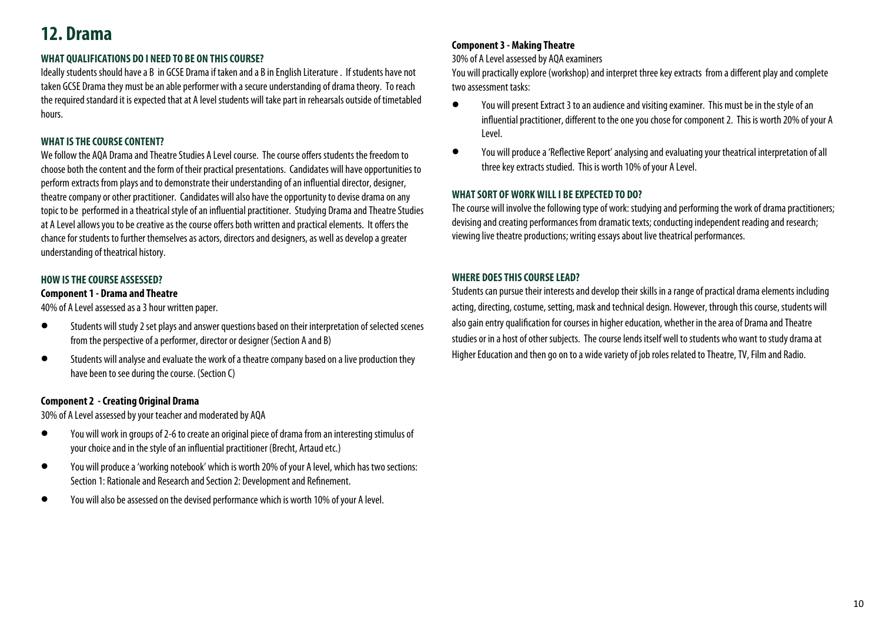# **12. Drama**

#### **WHAT QUALIFICATIONS DO I NEED TO BE ON THIS COURSE?**

Ideally students should have a B in GCSE Drama if taken and a B in English Literature . If students have not taken GCSE Drama they must be an able performer with a secure understanding of drama theory. To reach the required standard it is expected that at A level students will take part in rehearsals outside of timetabled hours.

#### **WHAT IS THE COURSE CONTENT?**

We follow the AQA Drama and Theatre Studies A Level course. The course offers students the freedom to choose both the content and the form of their practical presentations. Candidates will have opportunities to perform extracts from plays and to demonstrate their understanding of an influential director, designer, theatre company or other practitioner. Candidates will also have the opportunity to devise drama on any topic to be performed in a theatrical style of an influential practitioner. Studying Drama and Theatre Studies at A Level allows you to be creative as the course offers both written and practical elements. It offers the chance for students to further themselves as actors, directors and designers, as well as develop a greater understanding of theatrical history.

#### **HOW IS THE COURSE ASSESSED?**

#### **Component 1 - Drama and Theatre**

40% of A Level assessed as a 3 hour written paper.

- $\bullet$  Students will study 2 set plays and answer questions based on their interpretation of selected scenes from the perspective of a performer, director or designer (Section A and B)
- $\bullet$  Students will analyse and evaluate the work of a theatre company based on a live production they have been to see during the course. (Section C)

#### **Component 2 - Creating Original Drama**

30% of A Level assessed by your teacher and moderated by AQA

- $\bullet$  You will work in groups of 2-6 to create an original piece of drama from an interesting stimulus of your choice and in the style of an influential practitioner (Brecht, Artaud etc.)
- $\bullet$  You will produce a 'working notebook' which is worth 20% of your A level, which has two sections: Section 1: Rationale and Research and Section 2: Development and Refinement.
- $\bullet$ You will also be assessed on the devised performance which is worth 10% of your A level.

#### **Component 3 - Making Theatre**

30% of A Level assessed by AQA examiners

You will practically explore (workshop) and interpret three key extracts from a different play and complete two assessment tasks:

- $\bullet$  You will present Extract 3 to an audience and visiting examiner. This must be in the style of an influential practitioner, different to the one you chose for component 2. This is worth 20% of your A Level.
- $\bullet$  You will produce a 'Reflective Report' analysing and evaluating your theatrical interpretation of all three key extracts studied. This is worth 10% of your A Level.

#### **WHAT SORT OF WORK WILL I BE EXPECTED TO DO?**

The course will involve the following type of work: studying and performing the work of drama practitioners; devising and creating performances from dramatic texts; conducting independent reading and research; viewing live theatre productions; writing essays about live theatrical performances.

#### **WHERE DOES THIS COURSE LEAD?**

Students can pursue their interests and develop their skills in a range of practical drama elements including acting, directing, costume, setting, mask and technical design. However, through this course, students will also gain entry qualification for courses in higher education, whether in the area of Drama and Theatre studies or in a host of other subjects. The course lends itself well to students who want to study drama at Higher Education and then go on to a wide variety of job roles related to Theatre, TV, Film and Radio.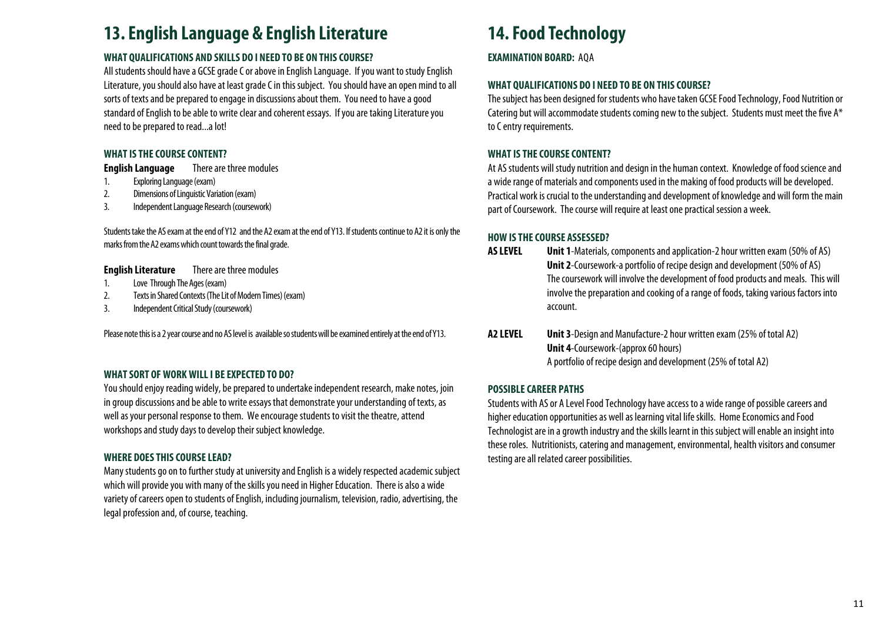### **13. English Language & English Literature**

#### **WHAT QUALIFICATIONS AND SKILLS DO I NEED TO BE ON THIS COURSE?**

All students should have a GCSE grade C or above in English Language. If you want to study English Literature, you should also have at least grade C in this subject. You should have an open mind to all sorts of texts and be prepared to engage in discussions about them. You need to have a good standard of English to be able to write clear and coherent essays. If you are taking Literature you need to be prepared to read...a lot!

#### **WHAT IS THE COURSE CONTENT?**

**English Language** There are three modules

- 1. Exploring Language (exam)
- 2. Dimensions of Linguistic Variation (exam)
- 3. Independent Language Research (coursework)

Students take the AS exam at the end of Y12 and the A2 exam at the end of Y13. If students continue to A2 it is only the marks from the A2 exams which count towards the final grade.

#### **English Literature** There are three modules

- 1. Love Through The Ages (exam)
- 2. Texts in Shared Contexts (The Lit of Modern Times) (exam)
- 3. Independent Critical Study (coursework)

Please note this is a 2 year course and no AS level is available so students will be examined entirely at the end of Y13.

#### **WHAT SORT OF WORK WILL I BE EXPECTED TO DO?**

You should enjoy reading widely, be prepared to undertake independent research, make notes, join in group discussions and be able to write essays that demonstrate your understanding of texts, as well as your personal response to them. We encourage students to visit the theatre, attend workshops and study days to develop their subject knowledge.

#### **WHERE DOES THIS COURSE LEAD?**

Many students go on to further study at university and English is a widely respected academic subject which will provide you with many of the skills you need in Higher Education. There is also a wide variety of careers open to students of English, including journalism, television, radio, advertising, the legal profession and, of course, teaching.

# **14. Food Technology**

**EXAMINATION BOARD: AOA** 

#### **WHAT QUALIFICATIONS DO I NEED TO BE ON THIS COURSE?**

The subject has been designed for students who have taken GCSE Food Technology, Food Nutrition or Catering but will accommodate students coming new to the subject. Students must meet the five A\* to C entry requirements.

#### **WHAT IS THE COURSE CONTENT?**

At AS students will study nutrition and design in the human context. Knowledge of food science and a wide range of materials and components used in the making of food products will be developed. Practical work is crucial to the understanding and development of knowledge and will form the main part of Coursework. The course will require at least one practical session a week.

#### **HOW IS THE COURSE ASSESSED?**

- **AS LEVEL Unit 1**-Materials, components and application-2 hour written exam (50% of AS) **Unit 2**-Coursework-a portfolio of recipe design and development (50% of AS) The coursework will involve the development of food products and meals. This will involve the preparation and cooking of a range of foods, taking various factors into account.
- **A2 LEVEL Unit 3**-Design and Manufacture-2 hour written exam (25% of total A2) **Unit 4**-Coursework-(approx 60 hours) A portfolio of recipe design and development (25% of total A2)

#### **POSSIBLE CAREER PATHS**

Students with AS or A Level Food Technology have access to a wide range of possible careers and higher education opportunities as well as learning vital life skills. Home Economics and Food Technologist are in a growth industry and the skills learnt in this subject will enable an insight into these roles. Nutritionists, catering and management, environmental, health visitors and consumer testing are all related career possibilities.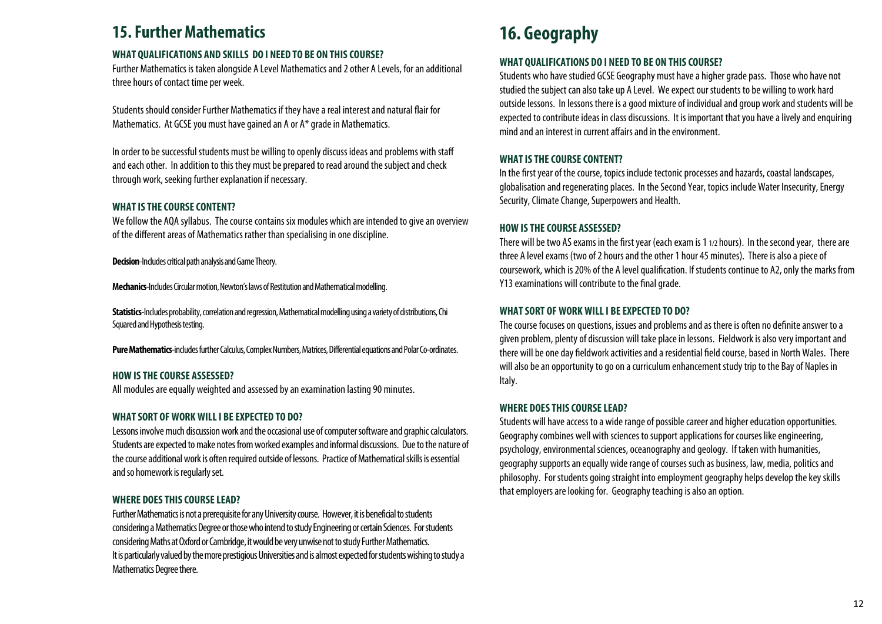### **15. Further Mathematics**

#### **WHAT QUALIFICATIONS AND SKILLS DO I NEED TO BE ON THIS COURSE?**

Further Mathematics is taken alongside A Level Mathematics and 2 other A Levels, for an additional three hours of contact time per week.

Students should consider Further Mathematics if they have a real interest and natural flair for Mathematics. At GCSE you must have gained an A or A\* grade in Mathematics.

In order to be successful students must be willing to openly discuss ideas and problems with staff and each other. In addition to this they must be prepared to read around the subject and check through work, seeking further explanation if necessary.

#### **WHAT IS THE COURSE CONTENT?**

We follow the AQA syllabus. The course contains six modules which are intended to give an overview of the different areas of Mathematics rather than specialising in one discipline.

**Decision**-Includes critical path analysis and Game Theory.

**Mechanics**-Includes Circular motion, Newton's laws of Restitution and Mathematical modelling.

**Statistics**-Includes probability, correlation and regression, Mathematical modelling using a variety of distributions, Chi Squared and Hypothesis testing.

**Pure Mathematics**-includes further Calculus, Complex Numbers, Matrices, Differential equations and Polar Co-ordinates.

#### **HOW IS THE COURSE ASSESSED?**

All modules are equally weighted and assessed by an examination lasting 90 minutes.

#### **WHAT SORT OF WORK WILL I BE EXPECTED TO DO?**

Lessons involve much discussion work and the occasional use of computer software and graphic calculators. Students are expected to make notes from worked examples and informal discussions. Due to the nature of the course additional work is often required outside of lessons. Practice of Mathematical skills is essential and so homework is regularly set.

#### **WHERE DOES THIS COURSE LEAD?**

Further Mathematics is not a prerequisite for any University course. However, it is beneficial to students considering a Mathematics Degree or those who intend to study Engineering or certain Sciences. For students considering Maths at Oxford or Cambridge, it would be very unwise not to study Further Mathematics. It is particularly valued by the more prestigious Universities and is almost expected for students wishing to study a Mathematics Degree there.

# **16. Geography**

#### **WHAT QUALIFICATIONS DO I NEED TO BE ON THIS COURSE?**

Students who have studied GCSE Geography must have a higher grade pass. Those who have not studied the subject can also take up A Level. We expect our students to be willing to work hard outside lessons. In lessons there is a good mixture of individual and group work and students will be expected to contribute ideas in class discussions. It is important that you have a lively and enquiring mind and an interest in current affairs and in the environment.

#### **WHAT IS THE COURSE CONTENT?**

In the first year of the course, topics include tectonic processes and hazards, coastal landscapes, globalisation and regenerating places. In the Second Year, topics include Water Insecurity, Energy Security, Climate Change, Superpowers and Health.

#### **HOW IS THE COURSE ASSESSED?**

There will be two AS exams in the first year (each exam is 1 1/2 hours). In the second year, there are three A level exams (two of 2 hours and the other 1 hour 45 minutes). There is also a piece of coursework, which is 20% of the A level qualification. If students continue to A2, only the marks from Y13 examinations will contribute to the final grade.

#### **WHAT SORT OF WORK WILL I BE EXPECTED TO DO?**

The course focuses on questions, issues and problems and as there is often no definite answer to a given problem, plenty of discussion will take place in lessons. Fieldwork is also very important and there will be one day fieldwork activities and a residential field course, based in North Wales. There will also be an opportunity to go on a curriculum enhancement study trip to the Bay of Naples in Italy.

#### **WHERE DOES THIS COURSE LEAD?**

Students will have access to a wide range of possible career and higher education opportunities. Geography combines well with sciences to support applications for courses like engineering, psychology, environmental sciences, oceanography and geology. If taken with humanities, geography supports an equally wide range of courses such as business, law, media, politics and philosophy. For students going straight into employment geography helps develop the key skills that employers are looking for. Geography teaching is also an option.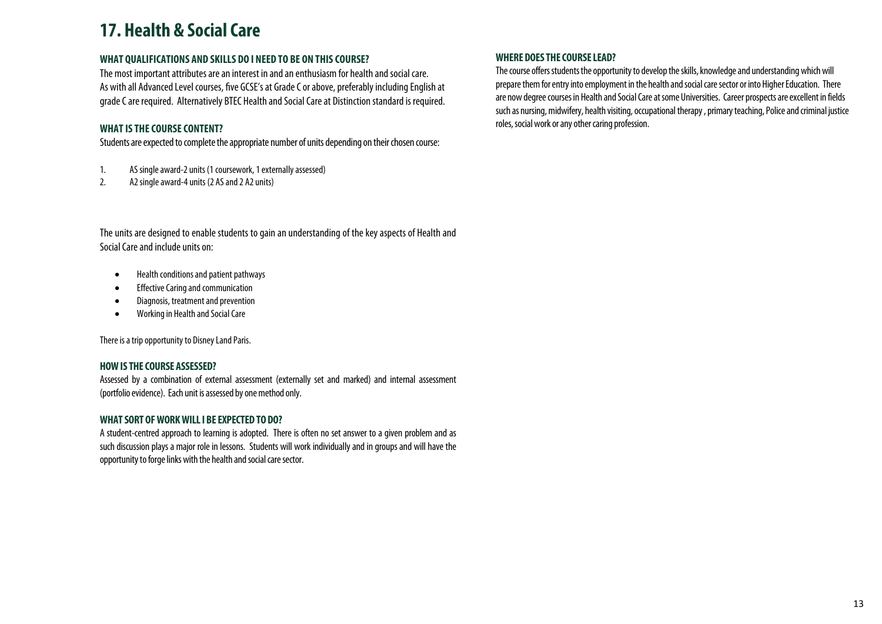### **17. Health & Social Care**

#### **WHAT QUALIFICATIONS AND SKILLS DO I NEED TO BE ON THIS COURSE?**

The most important attributes are an interest in and an enthusiasm for health and social care. As with all Advanced Level courses, five GCSE's at Grade C or above, preferably including English at grade C are required. Alternatively BTEC Health and Social Care at Distinction standard is required.

#### **WHAT IS THE COURSE CONTENT?**

Students are expected to complete the appropriate number of units depending on their chosen course:

- 1. AS single award-2 units (1 coursework, 1 externally assessed)
- 2. A2 single award-4 units (2 AS and 2 A2 units)

The units are designed to enable students to gain an understanding of the key aspects of Health and Social Care and include units on:

- $\bullet$ Health conditions and patient pathways
- $\bullet$ Effective Caring and communication
- $\bullet$ Diagnosis, treatment and prevention
- $\bullet$ Working in Health and Social Care

There is a trip opportunity to Disney Land Paris.

#### **HOW IS THE COURSE ASSESSED?**

Assessed by a combination of external assessment (externally set and marked) and internal assessment (portfolio evidence). Each unit is assessed by one method only.

#### **WHAT SORT OF WORK WILL I BE EXPECTED TO DO?**

A student-centred approach to learning is adopted. There is often no set answer to a given problem and as such discussion plays a major role in lessons. Students will work individually and in groups and will have the opportunity to forge links with the health and social care sector.

#### **WHERE DOES THE COURSE LEAD?**

The course offers students the opportunity to develop the skills, knowledge and understanding which will prepare them for entry into employment in the health and social care sector or into Higher Education. There are now degree courses in Health and Social Care at some Universities. Career prospects are excellent in fields such as nursing, midwifery, health visiting, occupational therapy , primary teaching, Police and criminal justice roles, social work or any other caring profession.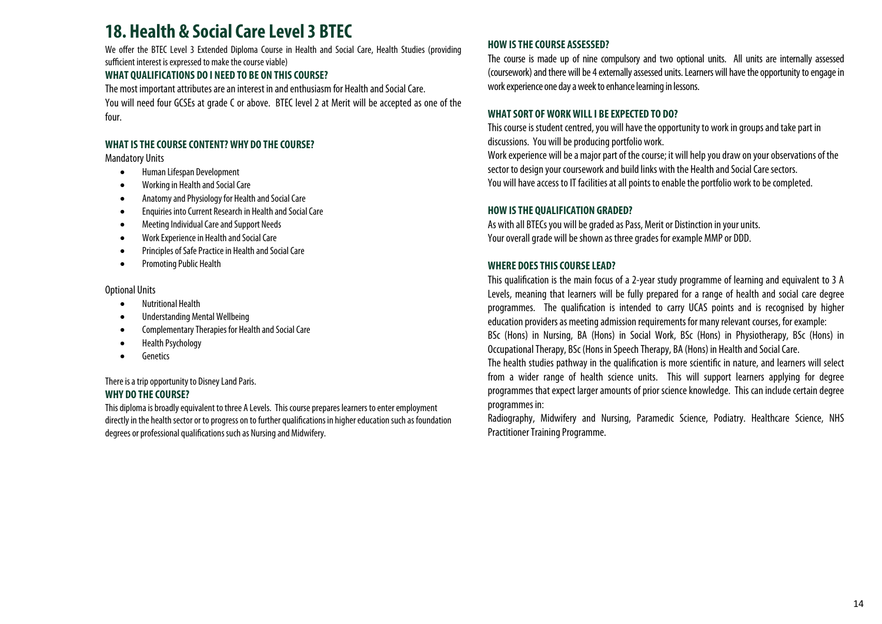### **18. Health & Social Care Level 3 BTEC**

We offer the BTEC Level 3 Extended Diploma Course in Health and Social Care, Health Studies (providing sufficient interest is expressed to make the course viable)

#### **WHAT QUALIFICATIONS DO I NEED TO BE ON THIS COURSE?**

The most important attributes are an interest in and enthusiasm for Health and Social Care. You will need four GCSEs at grade C or above. BTEC level 2 at Merit will be accepted as one of the four.

#### **WHAT IS THE COURSE CONTENT? WHY DO THE COURSE?**

Mandatory Units

- $\bullet$ Human Lifespan Development
- $\bullet$ Working in Health and Social Care
- $\bullet$ Anatomy and Physiology for Health and Social Care
- $\bullet$ Enquiries into Current Research in Health and Social Care
- $\bullet$ Meeting Individual Care and Support Needs
- $\bullet$ Work Experience in Health and Social Care
- $\bullet$ Principles of Safe Practice in Health and Social Care
- $\bullet$ Promoting Public Health

#### Optional Units

- $\bullet$ Nutritional Health
- $\bullet$ Understanding Mental Wellbeing
- $\bullet$ Complementary Therapies for Health and Social Care
- $\bullet$ Health Psychology
- $\bullet$ Genetics

#### There is a trip opportunity to Disney Land Paris. **WHY DO THE COURSE?**

This diploma is broadly equivalent to three A Levels. This course prepares learners to enter employment directly in the health sector or to progress on to further qualifications in higher education such as foundation degrees or professional qualifications such as Nursing and Midwifery.

#### **HOW IS THE COURSE ASSESSED?**

The course is made up of nine compulsory and two optional units. All units are internally assessed (coursework) and there will be 4 externally assessed units. Learners will have the opportunity to engage in work experience one day a week to enhance learning in lessons.

#### **WHAT SORT OF WORK WILL I BE EXPECTED TO DO?**

This course is student centred, you will have the opportunity to work in groups and take part in discussions. You will be producing portfolio work.

Work experience will be a major part of the course; it will help you draw on your observations of the sector to design your coursework and build links with the Health and Social Care sectors. You will have access to IT facilities at all points to enable the portfolio work to be completed.

#### **HOW IS THE QUALIFICATION GRADED?**

As with all BTECs you will be graded as Pass, Merit or Distinction in your units. Your overall grade will be shown as three grades for example MMP or DDD.

#### **WHERE DOES THIS COURSE LEAD?**

This qualification is the main focus of a 2-year study programme of learning and equivalent to 3 A Levels, meaning that learners will be fully prepared for a range of health and social care degree programmes. The qualification is intended to carry UCAS points and is recognised by higher education providers as meeting admission requirements for many relevant courses, for example:

BSc (Hons) in Nursing, BA (Hons) in Social Work, BSc (Hons) in Physiotherapy, BSc (Hons) in Occupational Therapy, BSc (Hons in Speech Therapy, BA (Hons) in Health and Social Care.

The health studies pathway in the qualification is more scientific in nature, and learners will select from a wider range of health science units. This will support learners applying for degree programmes that expect larger amounts of prior science knowledge. This can include certain degree programmes in:

Radiography, Midwifery and Nursing, Paramedic Science, Podiatry. Healthcare Science, NHS Practitioner Training Programme.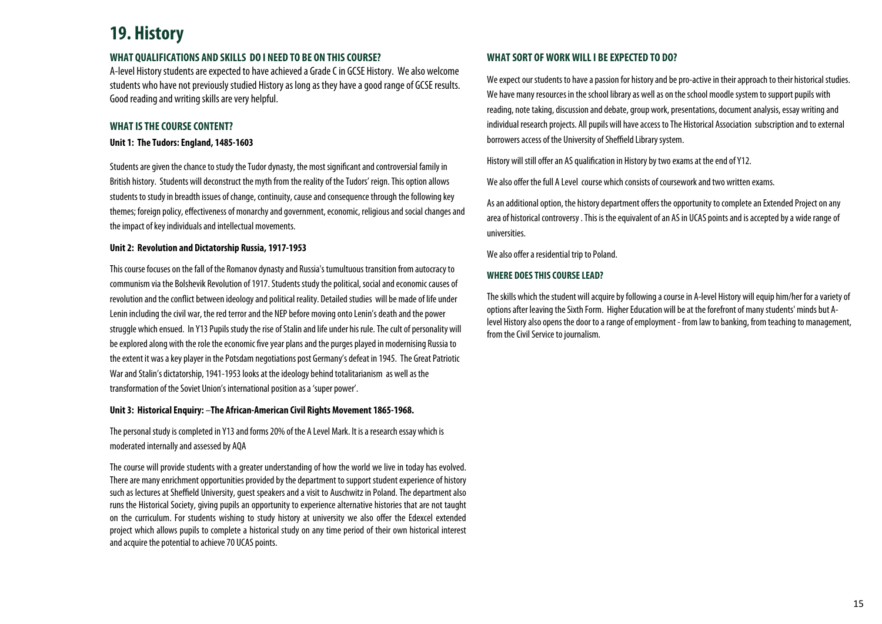### **19. History**

#### **WHAT QUALIFICATIONS AND SKILLS DO I NEED TO BE ON THIS COURSE?**

A-level History students are expected to have achieved a Grade C in GCSE History. We also welcome students who have not previously studied History as long as they have a good range of GCSE results. Good reading and writing skills are very helpful.

#### **WHAT IS THE COURSE CONTENT?**

#### **Unit 1: The Tudors: England, 1485-1603**

Students are given the chance to study the Tudor dynasty, the most significant and controversial family in British history. Students will deconstruct the myth from the reality of the Tudors' reign. This option allows students to study in breadth issues of change, continuity, cause and consequence through the following key themes; foreign policy, effectiveness of monarchy and government, economic, religious and social changes and the impact of key individuals and intellectual movements.

#### **Unit 2: Revolution and Dictatorship Russia, 1917-1953**

This course focuses on the fall of the Romanov dynasty and Russia's tumultuous transition from autocracy to communism via the Bolshevik Revolution of 1917. Students study the political, social and economic causes of revolution and the conflict between ideology and political reality. Detailed studies will be made of life under Lenin including the civil war, the red terror and the NEP before moving onto Lenin's death and the power struggle which ensued. In Y13 Pupils study the rise of Stalin and life under his rule. The cult of personality will be explored along with the role the economic five year plans and the purges played in modernising Russia to the extent it was a key player in the Potsdam negotiations post Germany's defeat in 1945. The Great Patriotic War and Stalin's dictatorship, 1941-1953 looks at the ideology behind totalitarianism as well as the transformation of the Soviet Union's international position as a 'super power'.

#### **Unit 3: Historical Enquiry:** –**The African-American Civil Rights Movement 1865-1968.**

The personal study is completed in Y13 and forms 20% of the A Level Mark. It is a research essay which is moderated internally and assessed by AQA

The course will provide students with a greater understanding of how the world we live in today has evolved. There are many enrichment opportunities provided by the department to support student experience of history such as lectures at Sheffield University, guest speakers and a visit to Auschwitz in Poland. The department also runs the Historical Society, giving pupils an opportunity to experience alternative histories that are not taught on the curriculum. For students wishing to study history at university we also offer the Edexcel extended project which allows pupils to complete a historical study on any time period of their own historical interest and acquire the potential to achieve 70 UCAS points.

#### **WHAT SORT OF WORK WILL I BE EXPECTED TO DO?**

We expect our students to have a passion for history and be pro-active in their approach to their historical studies. We have many resources in the school library as well as on the school moodle system to support pupils with reading, note taking, discussion and debate, group work, presentations, document analysis, essay writing and individual research projects. All pupils will have access to The Historical Association subscription and to external borrowers access of the University of Sheffield Library system.

History will still offer an AS qualification in History by two exams at the end of Y12.

We also offer the full A Level course which consists of coursework and two written exams.

As an additional option, the history department offers the opportunity to complete an Extended Project on any area of historical controversy . This is the equivalent of an AS in UCAS points and is accepted by a wide range of universities.

We also offer a residential trip to Poland.

#### **WHERE DOES THIS COURSE LEAD?**

The skills which the student will acquire by following a course in A-level History will equip him/her for a variety of options after leaving the Sixth Form. Higher Education will be at the forefront of many students' minds but Alevel History also opens the door to a range of employment - from law to banking, from teaching to management, from the Civil Service to journalism.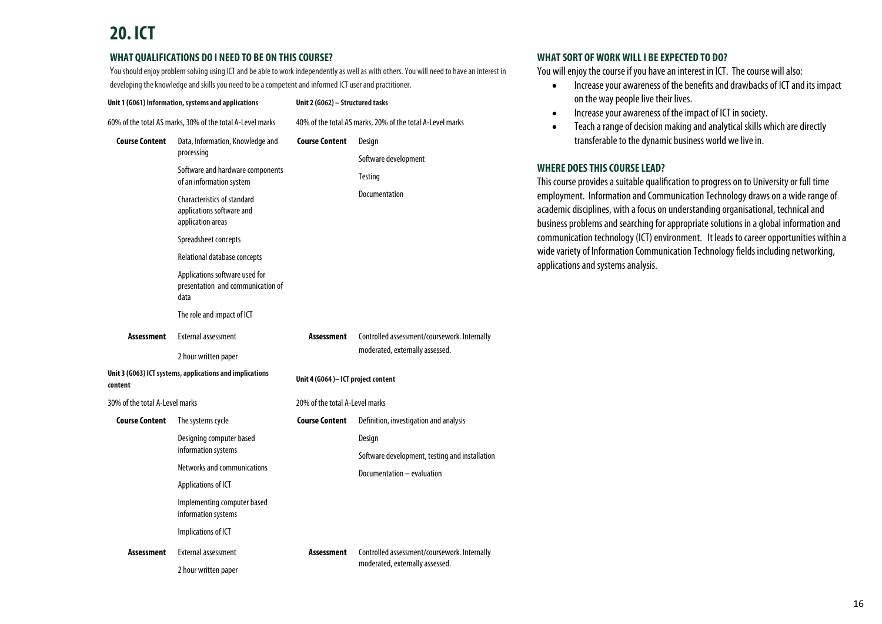# **20. ICT**

#### **WHAT QUALIFICATIONS DO I NEED TO BE ON THIS COURSE?**

You should enjoy problem solving using ICT and be able to work independently as well as with others. You will need to have an interest in developing the knowledge and skills you need to be a competent and informed ICT user and practitioner.

| Unit 1 (G061) Information, systems and applications<br>60% of the total AS marks, 30% of the total A-Level marks |                                                                                      | Unit 2 (G062) - Structured tasks<br>40% of the total AS marks, 20% of the total A-Level marks |                                                |  |
|------------------------------------------------------------------------------------------------------------------|--------------------------------------------------------------------------------------|-----------------------------------------------------------------------------------------------|------------------------------------------------|--|
|                                                                                                                  |                                                                                      |                                                                                               |                                                |  |
| Software and hardware components<br>of an information system                                                     |                                                                                      | Software development<br><b>Testing</b>                                                        |                                                |  |
|                                                                                                                  | <b>Characteristics of standard</b><br>applications software and<br>application areas |                                                                                               | Documentation                                  |  |
|                                                                                                                  | Spreadsheet concepts                                                                 |                                                                                               |                                                |  |
|                                                                                                                  | Relational database concepts                                                         |                                                                                               |                                                |  |
|                                                                                                                  | Applications software used for<br>presentation and communication of<br>data          |                                                                                               |                                                |  |
|                                                                                                                  | The role and impact of ICT                                                           |                                                                                               |                                                |  |
| Assessment                                                                                                       | <b>External assessment</b>                                                           | <b>Assessment</b>                                                                             | Controlled assessment/coursework. Internally   |  |
| 2 hour written paper                                                                                             |                                                                                      |                                                                                               | moderated, externally assessed.                |  |
| Unit 3 (G063) ICT systems, applications and implications<br>content                                              |                                                                                      | Unit 4 (G064)- ICT project content                                                            |                                                |  |
| 30% of the total A-Level marks                                                                                   |                                                                                      | 20% of the total A-Level marks                                                                |                                                |  |
| <b>Course Content</b>                                                                                            | The systems cycle                                                                    | <b>Course Content</b>                                                                         | Definition, investigation and analysis         |  |
|                                                                                                                  | Designing computer based<br>information systems                                      |                                                                                               | Design                                         |  |
|                                                                                                                  |                                                                                      |                                                                                               | Software development, testing and installation |  |
|                                                                                                                  | Networks and communications                                                          |                                                                                               | Documentation - evaluation                     |  |
|                                                                                                                  | Applications of ICT                                                                  |                                                                                               |                                                |  |
|                                                                                                                  | Implementing computer based<br>information systems                                   |                                                                                               |                                                |  |
|                                                                                                                  | Implications of ICT                                                                  |                                                                                               |                                                |  |
| <b>Assessment</b>                                                                                                | <b>External assessment</b>                                                           | Assessment                                                                                    | Controlled assessment/coursework. Internally   |  |
|                                                                                                                  | 2 hour written paper                                                                 |                                                                                               | moderated, externally assessed.                |  |

#### **WHAT SORT OF WORK WILL I BE EXPECTED TO DO?**

You will enjoy the course if you have an interest in ICT. The course will also:

- $\bullet$  Increase your awareness of the benefits and drawbacks of ICT and its impact on the way people live their lives.
- $\bullet$ Increase your awareness of the impact of ICT in society.
- $\bullet$  Teach a range of decision making and analytical skills which are directly transferable to the dynamic business world we live in.

#### **WHERE DOES THIS COURSE LEAD?**

This course provides a suitable qualification to progress on to University or full time employment. Information and Communication Technology draws on a wide range of academic disciplines, with a focus on understanding organisational, technical and business problems and searching for appropriate solutions in a global information and communication technology (ICT) environment. It leads to career opportunities within a wide variety of Information Communication Technology fields including networking, applications and systems analysis.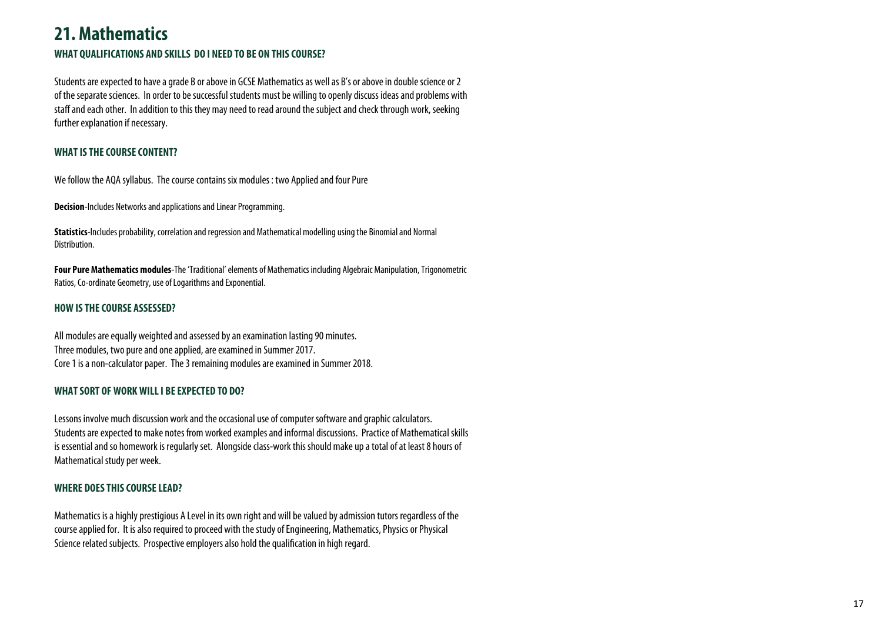### **21. Mathematics WHAT QUALIFICATIONS AND SKILLS DO I NEED TO BE ON THIS COURSE?**

Students are expected to have a grade B or above in GCSE Mathematics as well as B's or above in double science or 2 of the separate sciences. In order to be successful students must be willing to openly discuss ideas and problems with staff and each other. In addition to this they may need to read around the subject and check through work, seeking further explanation if necessary.

#### **WHAT IS THE COURSE CONTENT?**

We follow the AQA syllabus. The course contains six modules : two Applied and four Pure

**Decision**-Includes Networks and applications and Linear Programming.

**Statistics**-Includes probability, correlation and regression and Mathematical modelling using the Binomial and Normal Distribution.

**Four Pure Mathematics modules**-The 'Traditional' elements of Mathematics including Algebraic Manipulation, Trigonometric Ratios, Co-ordinate Geometry, use of Logarithms and Exponential.

#### **HOW IS THE COURSE ASSESSED?**

All modules are equally weighted and assessed by an examination lasting 90 minutes. Three modules, two pure and one applied, are examined in Summer 2017. Core 1 is a non-calculator paper. The 3 remaining modules are examined in Summer 2018.

#### **WHAT SORT OF WORK WILL I BE EXPECTED TO DO?**

Lessons involve much discussion work and the occasional use of computer software and graphic calculators. Students are expected to make notes from worked examples and informal discussions. Practice of Mathematical skills is essential and so homework is regularly set. Alongside class-work this should make up a total of at least 8 hours of Mathematical study per week.

#### **WHERE DOES THIS COURSE LEAD?**

Mathematics is a highly prestigious A Level in its own right and will be valued by admission tutors regardless of the course applied for. It is also required to proceed with the study of Engineering, Mathematics, Physics or Physical Science related subjects. Prospective employers also hold the qualification in high regard.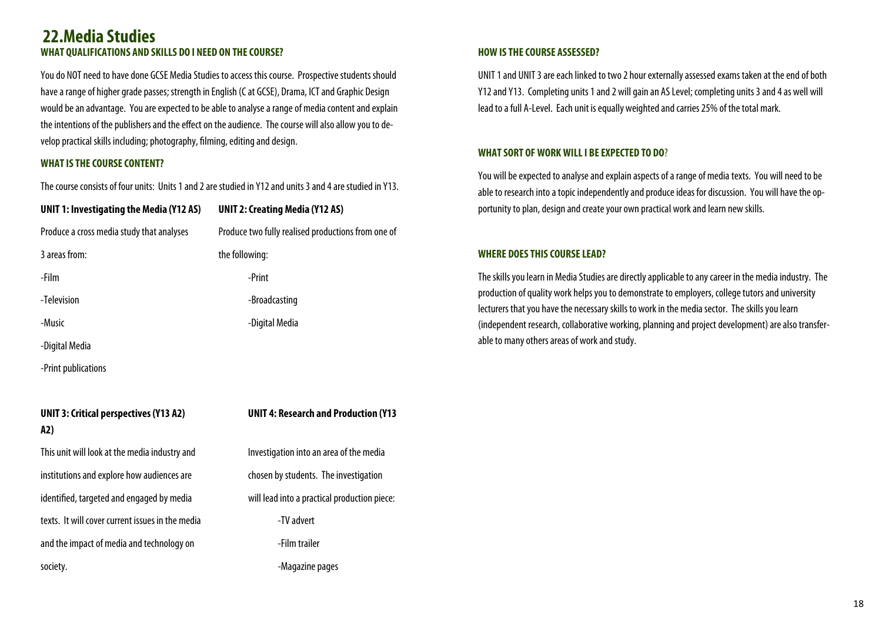#### **WHAT QUALIFICATIONS AND SKILLS DO I NEED ON THE COURSE? 22.Media Studies**

You do NOT need to have done GCSE Media Studies to access this course. Prospective students should have a range of higher grade passes; strength in English (C at GCSE), Drama, ICT and Graphic Design would be an advantage. You are expected to be able to analyse a range of media content and explain the intentions of the publishers and the effect on the audience. The course will also allow you to develop practical skills including; photography, filming, editing and design.

#### **WHAT IS THE COURSE CONTENT?**

The course consists of four units: Units 1 and 2 are studied in Y12 and units 3 and 4 are studied in Y13.

| UNIT 1: Investigating the Media (Y12 AS)  | <b>UNIT 2: Creating Media (Y12 AS)</b>             |
|-------------------------------------------|----------------------------------------------------|
| Produce a cross media study that analyses | Produce two fully realised productions from one of |
| 3 areas from:                             | the following:                                     |
| -Film                                     | -Print                                             |
| -Television                               | -Broadcasting                                      |
| -Music                                    | -Digital Media                                     |
| -Digital Media                            |                                                    |
| -Print publications                       |                                                    |

### **UNIT 3: Critical perspectives (Y13 A2) UNIT 4: Research and Production (Y13 A2)** This unit will look at the media industry and Investigation into an area of the media institutions and explore how audiences are chosen by students. The investigation identified, targeted and engaged by media will lead into a practical production piece: texts. It will cover current issues in the media -TV advert and the impact of media and technology on Table 1. Film trailer society. **All and Society** and Society.

#### **HOW IS THE COURSE ASSESSED?**

UNIT 1 and UNIT 3 are each linked to two 2 hour externally assessed exams taken at the end of both Y12 and Y13. Completing units 1 and 2 will gain an AS Level; completing units 3 and 4 as well will lead to a full A-Level. Each unit is equally weighted and carries 25% of the total mark.

#### **WHAT SORT OF WORK WILL I BE EXPECTED TO DO**?

You will be expected to analyse and explain aspects of a range of media texts. You will need to be able to research into a topic independently and produce ideas for discussion. You will have the opportunity to plan, design and create your own practical work and learn new skills.

#### **WHERE DOES THIS COURSE LEAD?**

The skills you learn in Media Studies are directly applicable to any career in the media industry. The production of quality work helps you to demonstrate to employers, college tutors and university lecturers that you have the necessary skills to work in the media sector. The skills you learn (independent research, collaborative working, planning and project development) are also transferable to many others areas of work and study.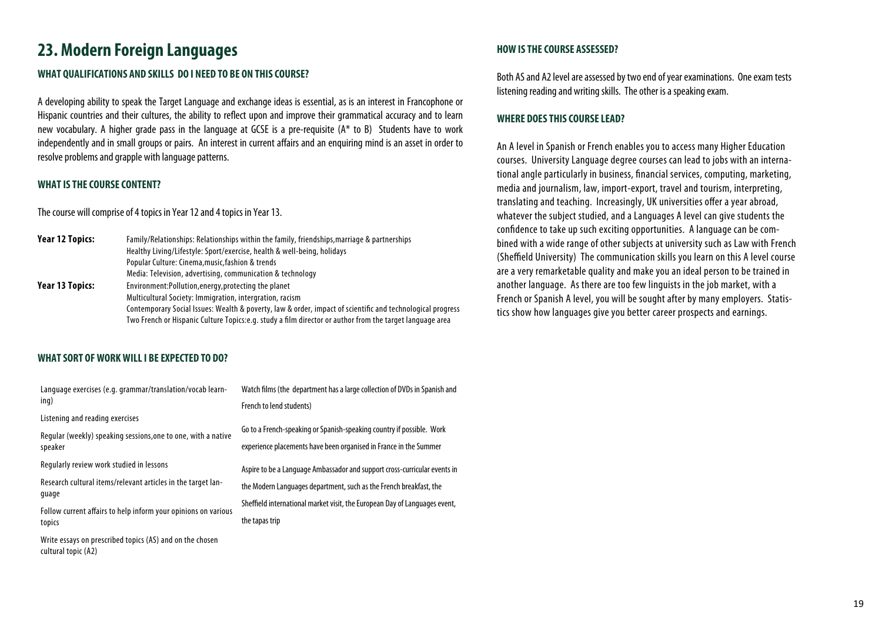### **23. Modern Foreign Languages All anguages HOW IS THE COURSE ASSESSED?**

#### **WHAT QUALIFICATIONS AND SKILLS DO I NEED TO BE ON THIS COURSE?**

A developing ability to speak the Target Language and exchange ideas is essential, as is an interest in Francophone or Hispanic countries and their cultures, the ability to reflect upon and improve their grammatical accuracy and to learn new vocabulary. A higher grade pass in the language at GCSE is a pre-requisite (A\* to B) Students have to work independently and in small groups or pairs. An interest in current affairs and an enquiring mind is an asset in order to resolve problems and grapple with language patterns.

#### **WHAT IS THE COURSE CONTENT?**

The course will comprise of 4 topics in Year 12 and 4 topics in Year 13.

| Year 12 Topics: | Family/Relationships: Relationships within the family, friendships, marriage & partnerships                |  |
|-----------------|------------------------------------------------------------------------------------------------------------|--|
|                 | Healthy Living/Lifestyle: Sport/exercise, health & well-being, holidays                                    |  |
|                 | Popular Culture: Cinema, music, fashion & trends                                                           |  |
|                 | Media: Television, advertising, communication & technology                                                 |  |
| Year 13 Topics: | Environment: Pollution, energy, protecting the planet                                                      |  |
|                 | Multicultural Society: Immigration, intergration, racism                                                   |  |
|                 | Contemporary Social Issues: Wealth & poverty, law & order, impact of scientific and technological progress |  |
|                 | Two French or Hispanic Culture Topics: e.g. study a film director or author from the target language area  |  |

#### **WHAT SORT OF WORK WILL I BE EXPECTED TO DO?**

cultural topic (A2)

| Language exercises (e.g. grammar/translation/vocab learn-      | Watch films (the department has a large collection of DVDs in Spanish and  |  |
|----------------------------------------------------------------|----------------------------------------------------------------------------|--|
| ing)                                                           | French to lend students)                                                   |  |
| Listening and reading exercises                                |                                                                            |  |
| Regular (weekly) speaking sessions, one to one, with a native  | Go to a French-speaking or Spanish-speaking country if possible. Work      |  |
| speaker                                                        | experience placements have been organised in France in the Summer          |  |
| Regularly review work studied in lessons                       | Aspire to be a Language Ambassador and support cross-curricular events in  |  |
| Research cultural items/relevant articles in the target lan-   | the Modern Languages department, such as the French breakfast, the         |  |
| quage                                                          | Sheffield international market visit, the European Day of Languages event, |  |
| Follow current affairs to help inform your opinions on various |                                                                            |  |
| topics                                                         | the tapas trip                                                             |  |
| Write essays on prescribed topics (AS) and on the chosen       |                                                                            |  |

Both AS and A2 level are assessed by two end of year examinations. One exam tests listening reading and writing skills. The other is a speaking exam.

#### **WHERE DOES THIS COURSE LEAD?**

An A level in Spanish or French enables you to access many Higher Education courses. University Language degree courses can lead to jobs with an international angle particularly in business, financial services, computing, marketing, media and journalism, law, import-export, travel and tourism, interpreting, translating and teaching. Increasingly, UK universities offer a year abroad, whatever the subject studied, and a Languages A level can give students the confidence to take up such exciting opportunities. A language can be combined with a wide range of other subjects at university such as Law with French (Sheffield University) The communication skills you learn on this A level course are a very remarketable quality and make you an ideal person to be trained in another language. As there are too few linguists in the job market, with a French or Spanish A level, you will be sought after by many employers. Statistics show how languages give you better career prospects and earnings.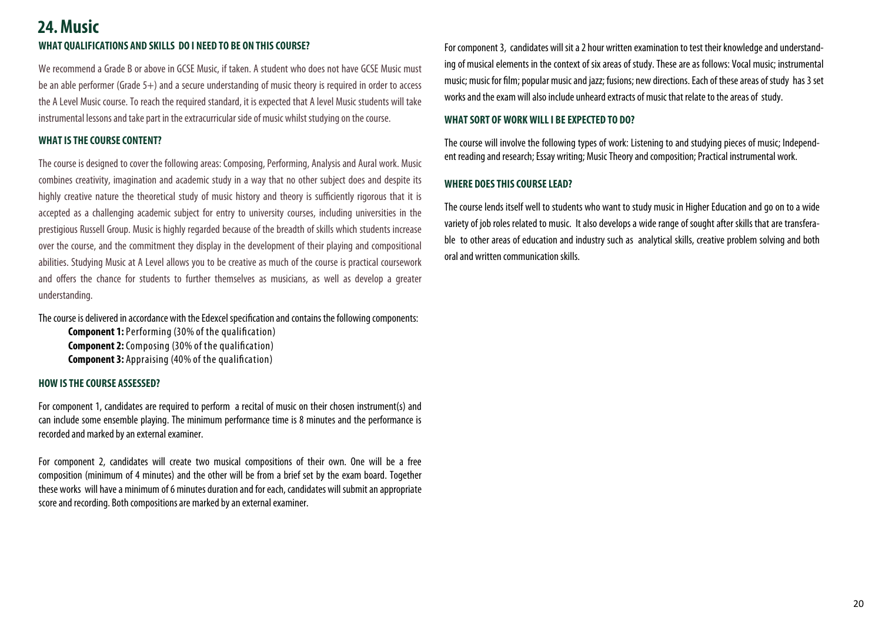### **24. MusicWHAT QUALIFICATIONS AND SKILLS DO I NEED TO BE ON THIS COURSE?**

We recommend a Grade B or above in GCSE Music, if taken. A student who does not have GCSE Music must be an able performer (Grade 5+) and a secure understanding of music theory is required in order to access the A Level Music course. To reach the required standard, it is expected that A level Music students will take instrumental lessons and take part in the extracurricular side of music whilst studying on the course.

#### **WHAT IS THE COURSE CONTENT?**

The course is designed to cover the following areas: Composing, Performing, Analysis and Aural work. Music combines creativity, imagination and academic study in a way that no other subject does and despite its highly creative nature the theoretical study of music history and theory is sufficiently rigorous that it is accepted as a challenging academic subject for entry to university courses, including universities in the prestigious Russell Group. Music is highly regarded because of the breadth of skills which students increase over the course, and the commitment they display in the development of their playing and compositional abilities. Studying Music at A Level allows you to be creative as much of the course is practical coursework and offers the chance for students to further themselves as musicians, as well as develop a greater understanding.

The course is delivered in accordance with the Edexcel specification and contains the following components:

**Component 1:** Performing (30% of the qualification) **Component 2:** Composing (30% of the qualification) **Component 3:** Appraising (40% of the qualification)

#### **HOW IS THE COURSE ASSESSED?**

For component 1, candidates are required to perform a recital of music on their chosen instrument(s) and can include some ensemble playing. The minimum performance time is 8 minutes and the performance is recorded and marked by an external examiner.

For component 2, candidates will create two musical compositions of their own. One will be a free composition (minimum of 4 minutes) and the other will be from a brief set by the exam board. Together these works will have a minimum of 6 minutes duration and for each, candidates will submit an appropriate score and recording. Both compositions are marked by an external examiner.

For component 3, candidates will sit a 2 hour written examination to test their knowledge and understanding of musical elements in the context of six areas of study. These are as follows: Vocal music; instrumental music; music for film; popular music and jazz; fusions; new directions. Each of these areas of study has 3 set works and the exam will also include unheard extracts of music that relate to the areas of study.

#### **WHAT SORT OF WORK WILL I BE EXPECTED TO DO?**

The course will involve the following types of work: Listening to and studying pieces of music; Independent reading and research; Essay writing; Music Theory and composition; Practical instrumental work.

#### **WHERE DOES THIS COURSE LEAD?**

The course lends itself well to students who want to study music in Higher Education and go on to a wide variety of job roles related to music. It also develops a wide range of sought after skills that are transferable to other areas of education and industry such as analytical skills, creative problem solving and both oral and written communication skills.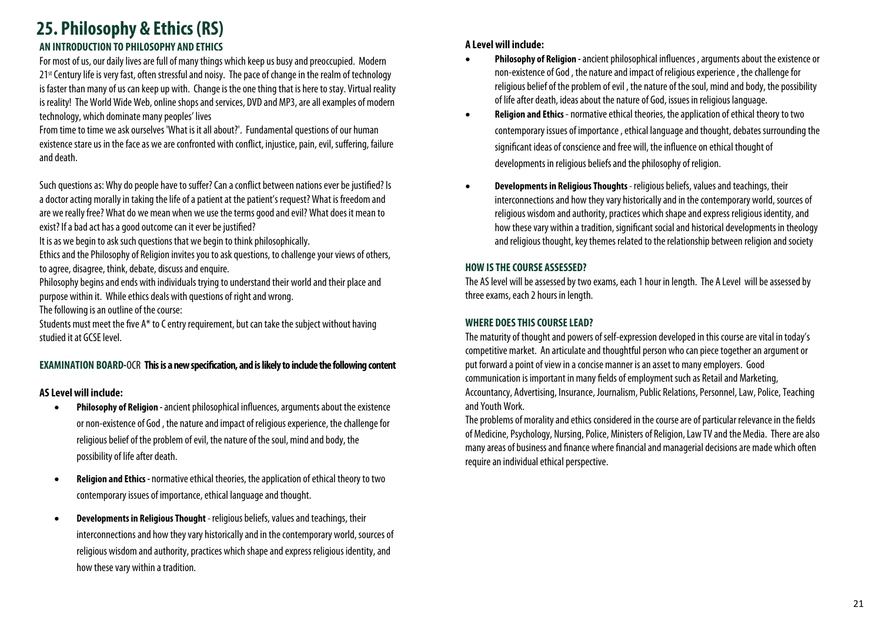# **25. Philosophy & Ethics (RS)**

#### **AN INTRODUCTION TO PHILOSOPHY AND ETHICS**

For most of us, our daily lives are full of many things which keep us busy and preoccupied. Modern 21st Century life is very fast, often stressful and noisy. The pace of change in the realm of technology is faster than many of us can keep up with. Change is the one thing that is here to stay. Virtual reality is reality! The World Wide Web, online shops and services, DVD and MP3, are all examples of modern technology, which dominate many peoples' lives

From time to time we ask ourselves 'What is it all about?'. Fundamental questions of our human existence stare us in the face as we are confronted with conflict, injustice, pain, evil, suffering, failure and death.

Such questions as: Why do people have to suffer? Can a conflict between nations ever be justified? Is a doctor acting morally in taking the life of a patient at the patient's request? What is freedom and are we really free? What do we mean when we use the terms good and evil? What does it mean to exist? If a bad act has a good outcome can it ever be justified?

It is as we begin to ask such questions that we begin to think philosophically.

Ethics and the Philosophy of Religion invites you to ask questions, to challenge your views of others, to agree, disagree, think, debate, discuss and enquire.

Philosophy begins and ends with individuals trying to understand their world and their place and purpose within it. While ethics deals with questions of right and wrong.

The following is an outline of the course:

Students must meet the five A\* to C entry requirement, but can take the subject without having studied it at GCSE level.

#### **EXAMINATION BOARD-**OCR **This is a new specification, and is likely to include the following content**

#### **AS Level will include:**

- $\bullet$  **Philosophy of Religion -** ancient philosophical influences, arguments about the existence or non-existence of God , the nature and impact of religious experience, the challenge for religious belief of the problem of evil, the nature of the soul, mind and body, the possibility of life after death.
- $\bullet$  **Religion and Ethics -** normative ethical theories, the application of ethical theory to two contemporary issues of importance, ethical language and thought.
- $\overline{\phantom{a}}$  **Developments in Religious Thought** - religious beliefs, values and teachings, their interconnections and how they vary historically and in the contemporary world, sources of religious wisdom and authority, practices which shape and express religious identity, and how these vary within a tradition.

#### **A Level will include:**

- $\bullet$  **Philosophy of Religion -** ancient philosophical influences , arguments about the existence or non-existence of God , the nature and impact of religious experience , the challenge for religious belief of the problem of evil , the nature of the soul, mind and body, the possibility of life after death, ideas about the nature of God, issues in religious language.
- $\bullet$  **Religion and Ethics** - normative ethical theories, the application of ethical theory to two contemporary issues of importance , ethical language and thought, debates surrounding the significant ideas of conscience and free will, the influence on ethical thought of developments in religious beliefs and the philosophy of religion.
- $\bullet$  **Developments in Religious Thoughts** - religious beliefs, values and teachings, their interconnections and how they vary historically and in the contemporary world, sources of religious wisdom and authority, practices which shape and express religious identity, and how these vary within a tradition, significant social and historical developments in theology and religious thought, key themes related to the relationship between religion and society

#### **HOW IS THE COURSE ASSESSED?**

The AS level will be assessed by two exams, each 1 hour in length. The A Level will be assessed by three exams, each 2 hours in length.

#### **WHERE DOES THIS COURSE LEAD?**

The maturity of thought and powers of self-expression developed in this course are vital in today's competitive market. An articulate and thoughtful person who can piece together an argument or put forward a point of view in a concise manner is an asset to many employers. Good communication is important in many fields of employment such as Retail and Marketing, Accountancy, Advertising, Insurance, Journalism, Public Relations, Personnel, Law, Police, Teaching and Youth Work.

The problems of morality and ethics considered in the course are of particular relevance in the fields of Medicine, Psychology, Nursing, Police, Ministers of Religion, Law TV and the Media. There are also many areas of business and finance where financial and managerial decisions are made which often require an individual ethical perspective.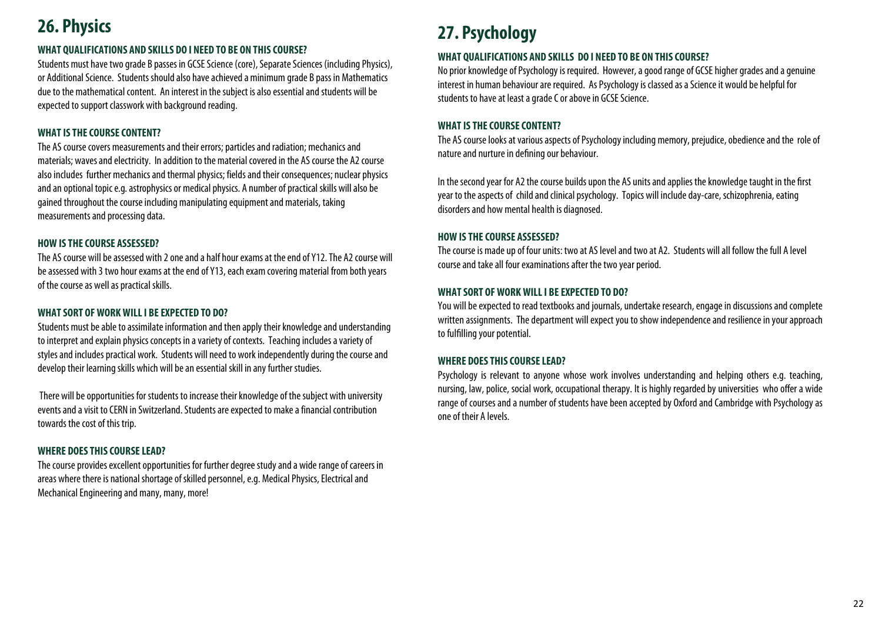### **26. Physics**

#### **WHAT QUALIFICATIONS AND SKILLS DO I NEED TO BE ON THIS COURSE?**

Students must have two grade B passes in GCSE Science (core), Separate Sciences (including Physics), or Additional Science. Students should also have achieved a minimum grade B pass in Mathematics due to the mathematical content. An interest in the subject is also essential and students will be expected to support classwork with background reading.

#### **WHAT IS THE COURSE CONTENT?**

The AS course covers measurements and their errors; particles and radiation; mechanics and materials; waves and electricity. In addition to the material covered in the AS course the A2 course also includes further mechanics and thermal physics; fields and their consequences; nuclear physics and an optional topic e.g. astrophysics or medical physics. A number of practical skills will also be gained throughout the course including manipulating equipment and materials, taking measurements and processing data.

#### **HOW IS THE COURSE ASSESSED?**

The AS course will be assessed with 2 one and a half hour exams at the end of Y12. The A2 course will be assessed with 3 two hour exams at the end of Y13, each exam covering material from both years of the course as well as practical skills.

#### **WHAT SORT OF WORK WILL I BE EXPECTED TO DO?**

Students must be able to assimilate information and then apply their knowledge and understanding to interpret and explain physics concepts in a variety of contexts. Teaching includes a variety of styles and includes practical work. Students will need to work independently during the course and develop their learning skills which will be an essential skill in any further studies.

 There will be opportunities for students to increase their knowledge of the subject with university events and a visit to CERN in Switzerland. Students are expected to make a financial contribution towards the cost of this trip.

#### **WHERE DOES THIS COURSE LEAD?**

The course provides excellent opportunities for further degree study and a wide range of careers in areas where there is national shortage of skilled personnel, e.g. Medical Physics, Electrical and Mechanical Engineering and many, many, more!

# **27. Psychology**

#### **WHAT QUALIFICATIONS AND SKILLS DO I NEED TO BE ON THIS COURSE?**

No prior knowledge of Psychology is required. However, a good range of GCSE higher grades and a genuine interest in human behaviour are required. As Psychology is classed as a Science it would be helpful for students to have at least a grade C or above in GCSE Science.

#### **WHAT IS THE COURSE CONTENT?**

The AS course looks at various aspects of Psychology including memory, prejudice, obedience and the role of nature and nurture in defining our behaviour.

In the second year for A2 the course builds upon the AS units and applies the knowledge taught in the first year to the aspects of child and clinical psychology. Topics will include day-care, schizophrenia, eating disorders and how mental health is diagnosed.

#### **HOW IS THE COURSE ASSESSED?**

The course is made up of four units: two at AS level and two at A2. Students will all follow the full A level course and take all four examinations after the two year period.

#### **WHAT SORT OF WORK WILL I BE EXPECTED TO DO?**

You will be expected to read textbooks and journals, undertake research, engage in discussions and complete written assignments. The department will expect you to show independence and resilience in your approach to fulfilling your potential.

#### **WHERE DOES THIS COURSE LEAD?**

Psychology is relevant to anyone whose work involves understanding and helping others e.g. teaching, nursing, law, police, social work, occupational therapy. It is highly regarded by universities who offer a wide range of courses and a number of students have been accepted by Oxford and Cambridge with Psychology as one of their A levels.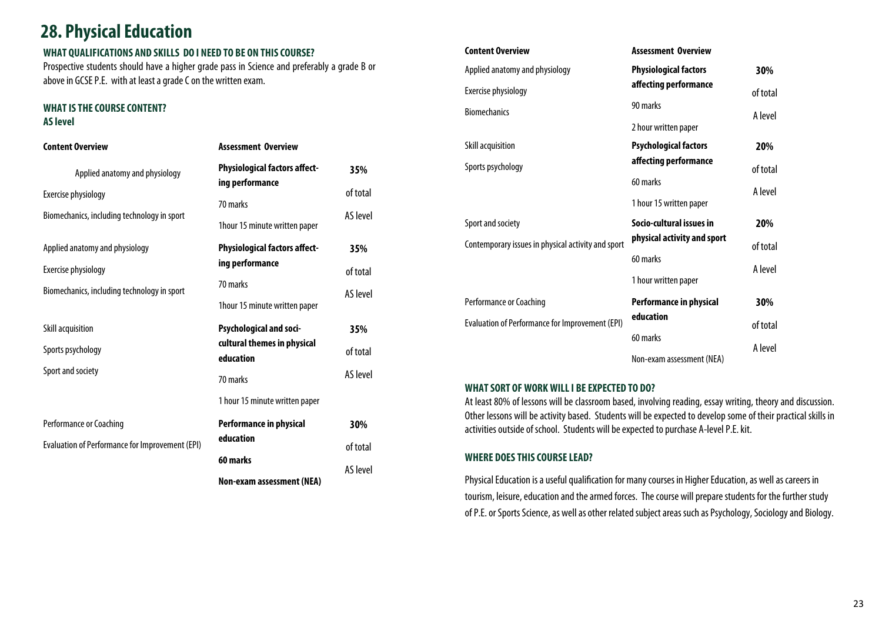### **28. Physical Education**

#### **WHAT QUALIFICATIONS AND SKILLS DO I NEED TO BE ON THIS COURSE?**

Prospective students should have a higher grade pass in Science and preferably a grade B or above in GCSE P.E. with at least a grade C on the written exam.

#### **WHAT IS THE COURSE CONTENT? AS level**

#### **Content Overview**Applied anatomy and physiology Exercise physiology Biomechanics, including technology in sport **Assessment Overview Physiological factors affecting performance**  70 marks 1hour 15 minute written paper **35%**of total AS level Applied anatomy and physiology Exercise physiology Biomechanics, including technology in sport **Physiological factors affecting performance**  70 marks 1hour 15 minute written paper **35%**of total AS level Skill acquisition Sports psychology Sport and society **Psychological and socicultural themes in physical education**  70 marks 1 hour 15 minute written paper **35%**of total AS level Performance or Coaching Evaluation of Performance for Improvement (EPI) **Performance in physical education 60 marks Non-exam assessment (NEA) 30%**of total AS level

| <b>Content Overview</b>                                | <b>Assessment Overview</b>     |          |
|--------------------------------------------------------|--------------------------------|----------|
| Applied anatomy and physiology                         | <b>Physiological factors</b>   | 30%      |
| Exercise physiology                                    | affecting performance          | of total |
| <b>Biomechanics</b>                                    | 90 marks                       | A level  |
|                                                        | 2 hour written paper           |          |
| Skill acquisition                                      | <b>Psychological factors</b>   | 20%      |
| Sports psychology                                      | affecting performance          | of total |
|                                                        | 60 marks                       | A level  |
|                                                        | 1 hour 15 written paper        |          |
| Sport and society                                      | Socio-cultural issues in       | 20%      |
| Contemporary issues in physical activity and sport     | physical activity and sport    | of total |
|                                                        | 60 marks                       | A level  |
|                                                        | 1 hour written paper           |          |
| Performance or Coaching                                | <b>Performance in physical</b> | 30%      |
| <b>Evaluation of Performance for Improvement (EPI)</b> | education                      | of total |
|                                                        | 60 marks                       | A level  |
|                                                        | Non-exam assessment (NEA)      |          |

#### **WHAT SORT OF WORK WILL I BE EXPECTED TO DO?**

At least 80% of lessons will be classroom based, involving reading, essay writing, theory and discussion. Other lessons will be activity based. Students will be expected to develop some of their practical skills in activities outside of school. Students will be expected to purchase A-level P.E. kit.

#### **WHERE DOES THIS COURSE LEAD?**

Physical Education is a useful qualification for many courses in Higher Education, as well as careers in tourism, leisure, education and the armed forces. The course will prepare students for the further study of P.E. or Sports Science, as well as other related subject areas such as Psychology, Sociology and Biology.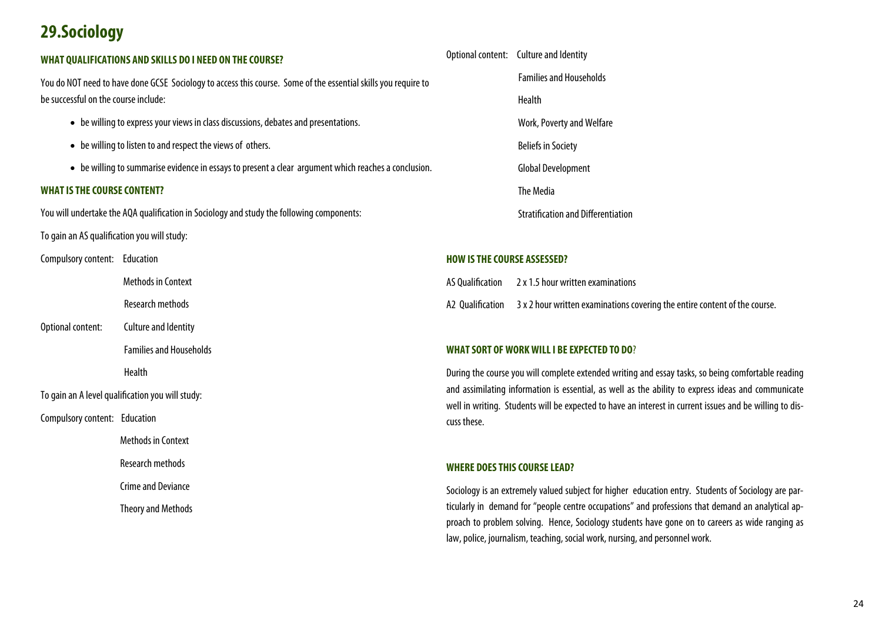### **29.Sociology**

#### **WHAT QUALIFICATIONS AND SKILLS DO I NEED ON THE COURSE?**

You do NOT need to have done GCSE Sociology to access this course. Some of the essential skills you require to be successful on the course include:

- be willing to express your views in class discussions, debates and presentations.
- be willing to listen to and respect the views of others.
- be willing to summarise evidence in essays to present a clear argument which reaches a conclusion.

#### **WHAT IS THE COURSE CONTENT?**

You will undertake the AQA qualification in Sociology and study the following components:

To gain an AS qualification you will study:

Compulsory content: Education

Methods in Context

Research methods

Optional content: Culture and Identity

Families and Households

**Health Health** 

To gain an A level qualification you will study:

Compulsory content: Education

Methods in Context

Research methods

Crime and Deviance

Theory and Methods

Optional content: Culture and Identity Families and Households Health Work, Poverty and Welfare Beliefs in Society Global Development The Media Stratification and Differentiation

#### **HOW IS THE COURSE ASSESSED?**

AS Qualification 2 x 1.5 hour written examinations A2 Qualification 3 x 2 hour written examinations covering the entire content of the course.

#### **WHAT SORT OF WORK WILL I BE EXPECTED TO DO**?

During the course you will complete extended writing and essay tasks, so being comfortable reading and assimilating information is essential, as well as the ability to express ideas and communicate well in writing. Students will be expected to have an interest in current issues and be willing to discuss these.

#### **WHERE DOES THIS COURSE LEAD?**

Sociology is an extremely valued subject for higher education entry. Students of Sociology are particularly in demand for "people centre occupations" and professions that demand an analytical approach to problem solving. Hence, Sociology students have gone on to careers as wide ranging as law, police, journalism, teaching, social work, nursing, and personnel work.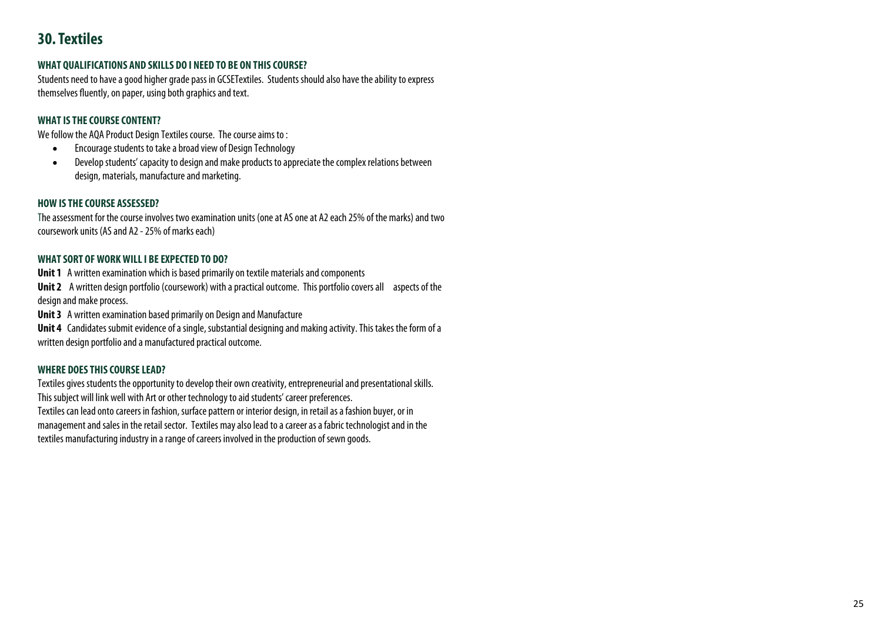### **30. Textiles**

#### **WHAT QUALIFICATIONS AND SKILLS DO I NEED TO BE ON THIS COURSE?**

Students need to have a good higher grade pass in GCSETextiles. Students should also have the ability to express themselves fluently, on paper, using both graphics and text.

#### **WHAT IS THE COURSE CONTENT?**

We follow the AQA Product Design Textiles course. The course aims to :

- $\bullet$ Encourage students to take a broad view of Design Technology
- $\bullet$  Develop students' capacity to design and make products to appreciate the complex relations between design, materials, manufacture and marketing.

#### **HOW IS THE COURSE ASSESSED?**

The assessment for the course involves two examination units (one at AS one at A2 each 25% of the marks) and two coursework units (AS and A2 - 25% of marks each)

#### **WHAT SORT OF WORK WILL I BE EXPECTED TO DO?**

**Unit 1** A written examination which is based primarily on textile materials and components

**Unit 2** A written design portfolio (coursework) with a practical outcome. This portfolio covers all aspects of the design and make process.

**Unit 3** A written examination based primarily on Design and Manufacture

**Unit 4** Candidates submit evidence of a single, substantial designing and making activity. This takes the form of a written design portfolio and a manufactured practical outcome.

#### **WHERE DOES THIS COURSE LEAD?**

Textiles gives students the opportunity to develop their own creativity, entrepreneurial and presentational skills. This subject will link well with Art or other technology to aid students' career preferences. Textiles can lead onto careers in fashion, surface pattern or interior design, in retail as a fashion buyer, or in management and sales in the retail sector. Textiles may also lead to a career as a fabric technologist and in the textiles manufacturing industry in a range of careers involved in the production of sewn goods.